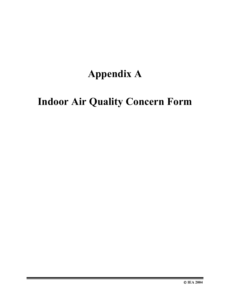# **Appendix A**

# **Indoor Air Quality Concern Form**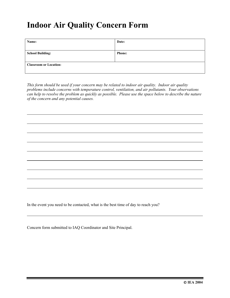### **Indoor Air Quality Concern Form**

| Name:                         | Date:         |
|-------------------------------|---------------|
|                               |               |
| <b>School Building:</b>       | <b>Phone:</b> |
|                               |               |
| <b>Classroom or Location:</b> |               |
|                               |               |

*This form should be used if your concern may be related to indoor air quality. Indoor air quality problems include concerns with temperature control, ventilation, and air pollutants. Your observations can help to resolve the problem as quickly as possible. Please use the space below to describe the nature of the concern and any potential causes.* 

In the event you need to be contacted, what is the best time of day to reach you?

Concern form submitted to IAQ Coordinator and Site Principal.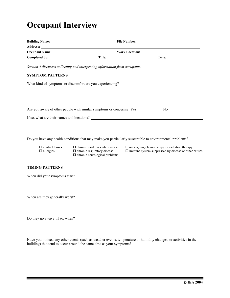## **Occupant Interview**

| Building Name: Name and Solid Report of the South Science of the South Science of the Society of the Society of the Society of the Society of the Society of the Society of the Society of the Society of the Society of the S |  |  |
|--------------------------------------------------------------------------------------------------------------------------------------------------------------------------------------------------------------------------------|--|--|
| Address: National Address: National Address: National Address: National Address: National Address: National Address: National Address: National Address: National Address: National Address: National Address: National Addres |  |  |
|                                                                                                                                                                                                                                |  |  |
|                                                                                                                                                                                                                                |  |  |
| Section 4 discusses collecting and interpreting information from occupants.                                                                                                                                                    |  |  |
| <b>SYMPTOM PATTERNS</b>                                                                                                                                                                                                        |  |  |
| What kind of symptoms or discomfort are you experiencing?                                                                                                                                                                      |  |  |
|                                                                                                                                                                                                                                |  |  |
|                                                                                                                                                                                                                                |  |  |
| Are you aware of other people with similar symptoms or concerns? Yes No                                                                                                                                                        |  |  |
|                                                                                                                                                                                                                                |  |  |
|                                                                                                                                                                                                                                |  |  |

Do you have any health conditions that may make you particularly susceptible to environmental problems?

 $\square$  chronic neurological problems

 $\square$  contact lenses  $\square$  chronic cardiovascular disease  $\square$  undergoing chemotherapy or radiation therapy  $\square$  allergies  $\square$  chronic respiratory disease  $\square$  immune system suppressed by disease or other  $\Box$  chronic respiratory disease  $\Box$  immune system suppressed by disease or other causes

#### **TIMING PATTERNS**

When did your symptoms start?

When are they generally worst?

Do they go away? If so, when?

Have you noticed any other events (such as weather events, temperature or humidity changes, or activities in the building) that tend to occur around the same time as your symptoms?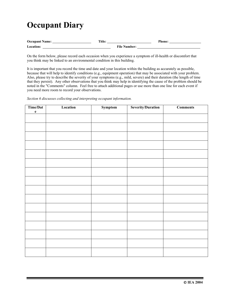## **Occupant Diary**

| <b>Occupant Name:</b> | Title: |                   | Phone: |
|-----------------------|--------|-------------------|--------|
| <b>Location:</b>      |        | File Num<br>ı har |        |

On the form below, please record each occasion when you experience a symptom of ill-health or discomfort that you think may be linked to an environmental condition in this building.

It is important that you record the time and date and your location within the building as accurately as possible, because that will help to identify conditions (e.g., equipment operation) that may be associated with your problem. Also, please try to describe the severity of your symptoms (e.g., mild, severe) and their duration (the length of time that they persist). Any other observations that you think may help in identifying the cause of the problem should be noted in the "Comments" column. Feel free to attach additional pages or use more than one line for each event if you need more room to record your observations.

*Section 6 discusses collecting and interpreting occupant information.* 

| Time/Dat     | Location | Symptom | <b>Severity/Duration</b> | <b>Comments</b> |
|--------------|----------|---------|--------------------------|-----------------|
| $\mathbf{e}$ |          |         |                          |                 |
|              |          |         |                          |                 |
|              |          |         |                          |                 |
|              |          |         |                          |                 |
|              |          |         |                          |                 |
|              |          |         |                          |                 |
|              |          |         |                          |                 |
|              |          |         |                          |                 |
|              |          |         |                          |                 |
|              |          |         |                          |                 |
|              |          |         |                          |                 |
|              |          |         |                          |                 |
|              |          |         |                          |                 |
|              |          |         |                          |                 |
|              |          |         |                          |                 |
|              |          |         |                          |                 |
|              |          |         |                          |                 |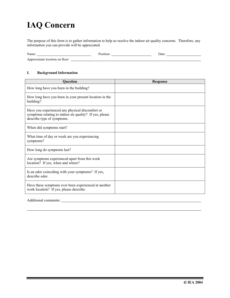## **IAQ Concern**

The purpose of this form is to gather information to help us resolve the indoor air quality concerns. Therefore, any information you can provide will be appreciated.

| Name:                                                     | ''OSIUOL | Jate |
|-----------------------------------------------------------|----------|------|
| . floor:<br>roximate<br>-location on-<br>App <sup>-</sup> |          |      |

#### **I. Background Information**

| <b>Question</b>                                                                                                                          | <b>Response</b> |
|------------------------------------------------------------------------------------------------------------------------------------------|-----------------|
| How long have you been in the building?                                                                                                  |                 |
| How long have you been in your present location in the<br>building?                                                                      |                 |
| Have you experienced any physical discomfort or<br>symptoms relating to indoor air quality? If yes, please<br>describe type of symptoms. |                 |
| When did symptoms start?                                                                                                                 |                 |
| What time of day or week are you experiencing<br>symptoms?                                                                               |                 |
| How long do symptoms last?                                                                                                               |                 |
| Are symptoms experienced apart from this work<br>location? If yes, when and where?                                                       |                 |
| Is an odor coinciding with your symptoms? If yes,<br>describe odor.                                                                      |                 |
| Have these symptoms ever been experienced at another<br>work location? If yes, please describe.                                          |                 |

Additional comments: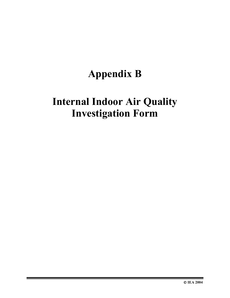# **Appendix B**

## **Internal Indoor Air Quality Investigation Form**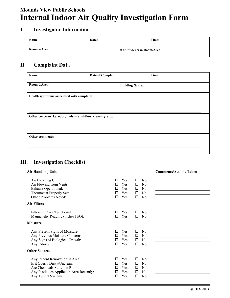### **Mounds View Public Schools Internal Indoor Air Quality Investigation Form**

#### **I. Investigator Information**

| Name:        | Date: |                             | Time: |
|--------------|-------|-----------------------------|-------|
| Room #/Area: |       | # of Students in Room/Area: |       |

#### **II. Complaint Data**

| Name:                                                         | Date of Complaint:    |  | Time: |
|---------------------------------------------------------------|-----------------------|--|-------|
| Room #/Area:                                                  | <b>Building Name:</b> |  |       |
| Health symptoms associated with complaint:                    |                       |  |       |
| Other concerns, i.e. odor, moisture, airflow, cleaning, etc.: |                       |  |       |
| Other comments:                                               |                       |  |       |

#### **III. Investigation Checklist**

| <b>Air Handling Unit</b>                                                                                                                                          |                                                                                                                                                                         | <b>Comments/Actions Taken</b> |
|-------------------------------------------------------------------------------------------------------------------------------------------------------------------|-------------------------------------------------------------------------------------------------------------------------------------------------------------------------|-------------------------------|
| Air Handling Unit On:<br>Air Flowing from Vents:<br><b>Exhaust Operational:</b><br>Thermostat Properly Set:<br>Other Problems Noted:<br><b>Air Filters</b>        | Yes<br>$\rm No$<br>□<br>п<br><b>Yes</b><br>□<br>$\rm No$<br>п<br><b>Yes</b><br>□<br>$\rm No$<br>п<br>Yes<br>□<br>N <sub>0</sub><br>п<br>Yes<br>□<br>N <sub>0</sub><br>п |                               |
| Filters in Place/Functional<br>Magnahelic Reading (inches $H_2O$ ):<br><b>Moisture</b>                                                                            | Yes<br>N <sub>0</sub><br>□<br>Yes<br>$\Box$<br>N <sub>0</sub><br>□                                                                                                      |                               |
| Any Present Signs of Moisture:<br>Any Previous Moisture Concerns:<br>Any Signs of Biological Growth:<br>Any Odors?                                                | Yes<br>$\rm No$<br>□<br>п<br><b>Yes</b><br>N <sub>0</sub><br>□<br>Yes<br>□<br>N <sub>0</sub><br>п<br>Yes<br>□<br>п<br>N <sub>0</sub>                                    |                               |
| <b>Other Sources</b>                                                                                                                                              |                                                                                                                                                                         |                               |
| Any Recent Renovation in Area:<br>Is it Overly Dusty/Unclean:<br>Are Chemicals Stored in Room:<br>Any Pesticides Applied in Area Recently:<br>Any Tunnel Systems: | Yes<br>$\rm No$<br>□<br>п<br>Yes<br>N <sub>0</sub><br>□<br>Yes<br>N <sub>0</sub><br>□<br>Yes<br>□<br>N <sub>0</sub><br>Yes<br>п<br>□<br>N <sub>0</sub>                  |                               |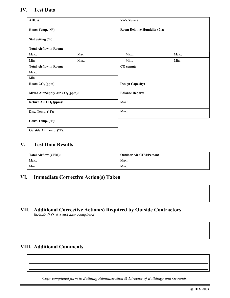#### **IV. Test Data**

| AHU#:                                       | VAV/Zone#: |                             |          |
|---------------------------------------------|------------|-----------------------------|----------|
| Room Temp. (°F):                            |            | Room Relative Humidity (%): |          |
| Stat Setting (°F):                          |            |                             |          |
| <b>Total Airflow in Room:</b>               |            |                             |          |
| $Max.$ :                                    | $Max.$ :   | Max.:                       | Max.:    |
| $Min.$ :                                    | Min.:      | $Min.$ :                    | $Min.$ : |
| <b>Total Airflow in Room:</b><br>Max.       |            | $CO$ (ppm):                 |          |
| $Min.$ :                                    |            |                             |          |
| Room $CO2$ (ppm):                           |            | <b>Design Capacity:</b>     |          |
| Mixed Air/Supply Air CO <sub>2</sub> (ppm): |            | <b>Balance Report:</b>      |          |
| Return Air CO <sub>2</sub> (ppm):           |            | Max.                        |          |
| Disc. Temp. (°F):                           |            | $Min.$ :                    |          |
| Conv. Temp. (°F):                           |            |                             |          |
| Outside Air Temp. (°F):                     |            |                             |          |

#### **V. Test Data Results**

| <b>Total Airflow (CFM):</b> | <b>Outdoor Air CFM/Person:</b> |
|-----------------------------|--------------------------------|
| Max.                        | Max.:                          |
| $Min.$ :                    | Min.                           |

#### **VI. Immediate Corrective Action(s) Taken**

#### **VII. Additional Corrective Action(s) Required by Outside Contractors**  *Include P.O. #'s and date completed.*

#### **VIII. Additional Comments**

*Copy completed form to Building Administration & Director of Buildings and Grounds.*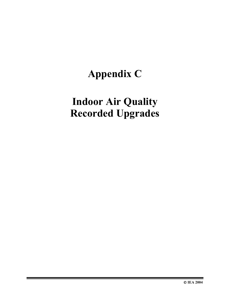# **Appendix C**

# **Indoor Air Quality Recorded Upgrades**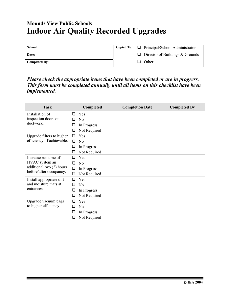### **Mounds View Public Schools Indoor Air Quality Recorded Upgrades**

| School:              |  | Copied To: $\Box$ Principal/School Administrator |
|----------------------|--|--------------------------------------------------|
| Date:                |  | $\Box$ Director of Buildings & Grounds           |
| <b>Completed By:</b> |  | $\Box$ Other:                                    |

*Please check the appropriate items that have been completed or are in progress. This form must be completed annually until all items on this checklist have been implemented.* 

| <b>Task</b>                |        | Completed      | <b>Completion Date</b> | <b>Completed By</b> |
|----------------------------|--------|----------------|------------------------|---------------------|
| Installation of            | □      | Yes            |                        |                     |
| inspection doors on        | ப      | N <sub>0</sub> |                        |                     |
| ductwork.                  | ⊔      | In Progress    |                        |                     |
|                            | ⊔      | Not Required   |                        |                     |
| Upgrade filters to higher  | ◻      | Yes            |                        |                     |
| efficiency, if achievable. | □      | N <sub>0</sub> |                        |                     |
|                            | ❏      | In Progress    |                        |                     |
|                            | ⊔      | Not Required   |                        |                     |
| Increase run time of       | l 1    | Yes            |                        |                     |
| HVAC system an             | ⊓      | N <sub>0</sub> |                        |                     |
| additional two (2) hours   | ❏      | In Progress    |                        |                     |
| before/after occupancy.    | ❏      | Not Required   |                        |                     |
| Install appropriate dirt   | □      | Yes            |                        |                     |
| and moisture mats at       | □      | N <sub>0</sub> |                        |                     |
| entrances.                 | ப      | In Progress    |                        |                     |
|                            | $\Box$ | Not Required   |                        |                     |
| Upgrade vacuum bags        | П      | Yes            |                        |                     |
| to higher efficiency.      | □      | N <sub>0</sub> |                        |                     |
|                            | ⊔      | In Progress    |                        |                     |
|                            | $\Box$ | Not Required   |                        |                     |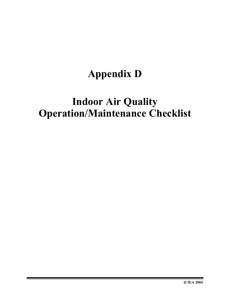# **Appendix D**

## **Indoor Air Quality Operation/Maintenance Checklist**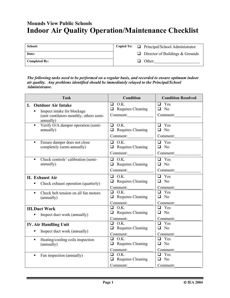### **Mounds View Public Schools Indoor Air Quality Operation/Maintenance Checklist**

| School:              |     | Copied To: $\Box$ Principal/School Administrator |
|----------------------|-----|--------------------------------------------------|
| Date:                |     | $\Box$ Director of Buildings & Grounds           |
| <b>Completed By:</b> | - 1 | Other:                                           |

*The following tasks need to be performed on a regular basis, and recorded to ensure optimum indoor air quality. Any problems identified should be immediately relayed to the Principal/School Administrator.* 

| <b>Task</b>                                                                                                            | <b>Condition</b>                                    | <b>Condition Resolved</b>                          |
|------------------------------------------------------------------------------------------------------------------------|-----------------------------------------------------|----------------------------------------------------|
| I.<br><b>Outdoor Air Intake</b><br>Inspect intake for blockage<br>(unit ventilators monthly, others semi-<br>annually) | $\Box$ O.K.<br>$\Box$ Requires Cleaning<br>Comment: | Yes<br>$\Box$<br>$\Box$ No<br>Comment:             |
| Verify O/A damper operation (semi-                                                                                     | $\Box$ O.K.                                         | $\Box$ Yes                                         |
| $\blacksquare$                                                                                                         | $\Box$ Requires Cleaning                            | $\Box$ No                                          |
| annually)                                                                                                              | Comment:                                            | Comment:                                           |
| Ensure damper does not close                                                                                           | $\Box$ O.K.                                         | $\overline{a}$ Yes                                 |
| $\blacksquare$                                                                                                         | $\Box$ Requires Cleaning                            | $\Box$ No                                          |
| completely (semi-annually)                                                                                             | Comment:                                            | Comment:                                           |
| Check controls' calibration (semi-                                                                                     | $\Box$ O.K.                                         | $\Box$ Yes                                         |
| $\blacksquare$                                                                                                         | $\Box$ Requires Cleaning                            | $\Box$ No                                          |
| annually)                                                                                                              | Comment:                                            | Comment:                                           |
| <b>II.</b> Exhaust Air                                                                                                 | $\Box$ O.K.                                         | $\Box$ Yes                                         |
| Check exhaust operation (quarterly)                                                                                    | $\Box$ Requires Cleaning                            | $\Box$ No                                          |
| п                                                                                                                      | Comment:                                            | Comment:                                           |
| Check belt tension on all fan motors                                                                                   | $\Box$ O.K.                                         | $\Box$ Yes                                         |
| $\blacksquare$                                                                                                         | $\Box$ Requires Cleaning                            | $\Box$ No                                          |
| (annually)                                                                                                             | Comment:                                            | Comment:                                           |
| <b>III.Duct Work</b>                                                                                                   | $\Box$ O.K.                                         | $\Box$ Yes                                         |
| Inspect duct work (annually)                                                                                           | $\Box$ Requires Cleaning                            | $\Box$ No                                          |
| ٠                                                                                                                      | Comment:                                            | Comment:                                           |
| <b>IV. Air Handling Unit</b>                                                                                           | $\Box$ O.K.                                         | $\Box$ Yes                                         |
| Inspect duct work (annually)                                                                                           | $\Box$ Requires Cleaning                            | $\Box$ No                                          |
| ٠                                                                                                                      | Comment:                                            | Comment:                                           |
| Heating/cooling coils inspection<br>$\blacksquare$<br>(annually)                                                       | $\Box$ O.K.<br>$\Box$ Requires Cleaning<br>Comment: | $\Box$ Yes<br>$\overline{N}$<br>$\Box$<br>Comment: |
| Fan inspection (annually)<br>$\blacksquare$                                                                            | $\Box$ O.K.<br>$\Box$ Requires Cleaning<br>Comment: | $\Box$ Yes<br>$\Box$ No<br>Comment:                |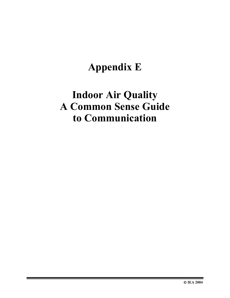# **Appendix E**

## **Indoor Air Quality A Common Sense Guide to Communication**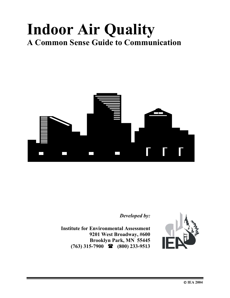# **Indoor Air Quality A Common Sense Guide to Communication**



*Developed by:* 

**Institute for Environmental Assessment 9201 West Broadway, #600 Brooklyn Park, MN 55445 (763) 315-7900 (800) 233-9513** 

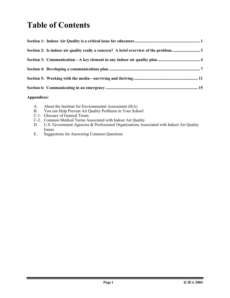## **Table of Contents**

| Section 2: Is indoor air quality really a concern? A brief overview of the problem3 |
|-------------------------------------------------------------------------------------|
|                                                                                     |
|                                                                                     |
|                                                                                     |
|                                                                                     |

#### **Appendices:**

| A. | About the Institute for Environmental Assessment (IEA) |  |
|----|--------------------------------------------------------|--|
|----|--------------------------------------------------------|--|

- B. You can Help Prevent Air Quality Problems in Your School
- C-1. Glossary of General Terms
- C-2. Common Medical Terms Associated with Indoor Air Quality<br>D. U.S. Government Agencies & Professional Organizations Ass
- U.S. Government Agencies & Professional Organizations Associated with Indoor Air Quality Issues
- E. Suggestions for Answering Common Questions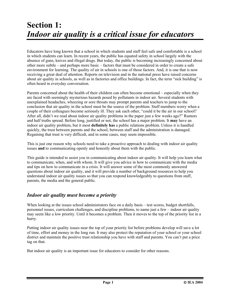## **Section 1:**  *Indoor air quality is a critical issue for educators*

Educators have long known that a school in which students and staff feel safe and comfortable is a school in which students can learn. In recent years, the public has equated safety in school largely with the absence of guns, knives and illegal drugs. But today, the public is becoming increasingly concerned about other more subtle – and perhaps more basic – factors that must be considered in order to create a safe environment for learning. The quality of air in schools is one of those factors. And, it is one that is now receiving a great deal of attention. Reports on television and in the national press have raised concerns about air quality in schools, as well as in factories and office buildings. In fact, the term "sick building" is often heard in everyday conversation.

Parents concerned about the health of their children can often become emotional – especially when they are faced with seemingly mysterious hazards posed by pollutants in indoor air. Several students with unexplained headaches, wheezing or sore throats may prompt parents and teachers to jump to the conclusion that air quality in the school must be the source of the problem. Staff members worry when a couple of their colleagues become seriously ill. They ask each other, "could it be the air in our school? After all, didn't we read about indoor air quality problems in the paper just a few weeks ago?" Rumors and half truths spread. Before long, justified or not, the school has a major problem. It **may** have an indoor air quality problem, but it most **definitely has** a public relations problem. Unless it is handled quickly, the trust between parents and the school, between staff and the administration is damaged. Regaining that trust is very difficult, and in some cases, may seem impossible.

This is just one reason why schools need to take a proactive approach to dealing with indoor air quality issues **and** to communicating openly and honestly about them with the public.

This guide is intended to assist you in communicating about indoor air quality. It will help you learn what to communicate, when, and with whom. It will give you advice in how to communicate with the media and tips on how to communicate in a crisis. It will answer some of the most commonly answered questions about indoor air quality, and it will provide a number of background resources to help you understand indoor air quality issues so that you can respond knowledgeably to questions from staff, parents, the media and the general public.

#### *Indoor air quality must become a priority*

When looking at the issues school administrators face on a daily basis – test scores, budget shortfalls, personnel issues, curriculum challenges, and discipline problems, to name just a few – indoor air quality may seem like a low priority. Until it becomes a problem. Then it moves to the top of the priority list in a hurry.

Putting indoor air quality issues near the top of your priority list before problems develop will save a lot of time, effort and money in the long run. It may also protect the reputation of your school or your school district and maintain the positive trust relationship you have with staff and parents. You can't put a price tag on that.

But indoor air quality is an important issue for educators to consider for other reasons.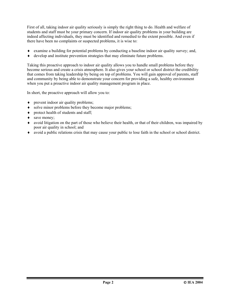First of all, taking indoor air quality seriously is simply the right thing to do. Health and welfare of students and staff must be your primary concern. If indoor air quality problems in your building are indeed affecting individuals, they must be identified and remedied to the extent possible. And even if there have been no complaints or suspected problems, it is wise to:

- ♦ examine a building for potential problems by conducting a baseline indoor air quality survey; and,
- ♦ develop and institute prevention strategies that may eliminate future problems.

Taking this proactive approach to indoor air quality allows you to handle small problems before they become serious and create a crisis atmosphere. It also gives your school or school district the credibility that comes from taking leadership by being on top of problems. You will gain approval of parents, staff and community by being able to demonstrate your concern for providing a safe, healthy environment when you put a proactive indoor air quality management program in place.

In short, the proactive approach will allow you to:

- prevent indoor air quality problems;
- ♦ solve minor problems before they become major problems;
- ♦ protect health of students and staff;
- save money;
- ♦ avoid litigation on the part of those who believe their health, or that of their children, was impaired by poor air quality in school; and
- ♦ avoid a public relations crisis that may cause your public to lose faith in the school or school district.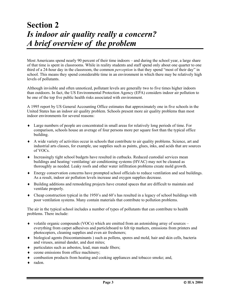## **Section 2**  *Is indoor air quality really a concern? A brief overview of the problem*

Most Americans spend nearly 90 percent of their time indoors – and during the school year, a large share of that time is spent in classrooms. While in reality students and staff spend only about one quarter to one third of a 24-hour day in the classroom, the common *perception* is that they spend "most of their day" in school. This means they spend considerable time in an environment in which there may be relatively high levels of pollutants.

Although invisible and often unnoticed, pollutant levels are generally two to five times higher indoors than outdoors. In fact, the US Environmental Protection Agency (EPA) considers indoor air pollution to be one of the top five public health risks associated with environment.

A 1995 report by US General Accounting Office estimates that approximately one in five schools in the United States has an indoor air quality problem. Schools present more air quality problems than most indoor environments for several reasons:

- ♦ Large numbers of people are concentrated in small areas for relatively long periods of time. For comparison, schools house an average of four persons more per square foot than the typical office building.
- ♦ A wide variety of activities occur in schools that contribute to air quality problems. Science, art and industrial arts classes, for example, use supplies such as paints, glues, inks, and acids that are sources of VOCs.
- ♦ Increasingly tight school budgets have resulted in cutbacks. Reduced custodial services mean buildings and heating/ ventilating/ air conditioning systems (HVAC) may not be cleaned as thoroughly as needed. Leaky roofs and other water infiltration problems create mold growth.
- ♦ Energy conservation concerns have prompted school officials to reduce ventilation and seal buildings. As a result, indoor air pollution levels increase and oxygen supplies decrease.
- ♦ Building additions and remodeling projects have created spaces that are difficult to maintain and ventilate properly.
- ♦ Cheap construction typical in the 1950's and 60's has resulted in a legacy of school buildings with poor ventilation systems. Many contain materials that contribute to pollution problems.

The air in the typical school includes a number of types of pollutants that can contribute to health problems. There include:

- $\bullet$  volatile organic compounds (VOCs) which are emitted from an astonishing array of sources everything from carpet adhesives and particleboard to felt tip markers, emissions from printers and photocopiers, cleaning supplies and even air fresheners;
- ♦ biological agents (biocontaminants ) such as pollens, spores and mold, hair and skin cells, bacteria and viruses, animal dander, and dust mites;
- ♦ particulates such as asbestos, lead, man made fibers;
- ♦ ozone emissions from office machinery;
- ♦ combustion products from heating and cooking appliances and tobacco smoke; and,
- radon.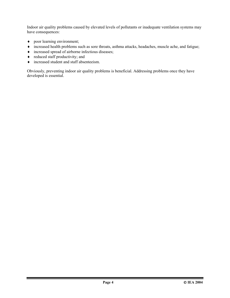Indoor air quality problems caused by elevated levels of pollutants or inadequate ventilation systems may have consequences:

- ♦ poor learning environment;
- ♦ increased health problems such as sore throats, asthma attacks, headaches, muscle ache, and fatigue;
- ♦ increased spread of airborne infectious diseases;
- $\bullet$  reduced staff productivity; and
- ♦ increased student and staff absenteeism.

Obviously, preventing indoor air quality problems is beneficial. Addressing problems once they have developed is essential.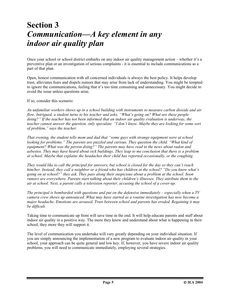## **Section 3**  *Communication—A key element in any indoor air quality plan*

Once your school or school district embarks on any indoor air quality management action – whether it's a preventive plan or an investigation of serious complaints - it is essential to include communications as a part of that plan.

Open, honest communication with all concerned individuals is always the best policy. It helps develop trust, alleviates fears and dispels rumors that may arise from lack of understanding. You might be tempted to ignore the communications, feeling that it's too time consuming and unnecessary. You might decide to avoid the issue unless questions arise.

If so, consider this scenario:

*An unfamiliar workers shows up in a school building with instruments to measure carbon dioxide and air flow. Intrigued, a student turns to his teacher and asks, "What's going on? What are these people doing?" If the teacher has not been informed that an indoor air quality evaluation is underway, the teacher cannot answer the question, only speculate. "I don't know. Maybe they are looking for some sort of problem," says the teacher.* 

*That evening, the student tells mom and dad that "some guys with strange equipment were at school*  looking for problems." The parents are puzzled and curious. They question the child. "What kind of *equipment? What was the person doing?" The parents may have read in the news about radon and asbestos. They may have heard about sick buildings. They leap to me conclusion that there is a problem at school. Maybe that explains the headaches their child has reported occasionally, or the coughing.* 

*They would like to call the principal for answers, but school is closed for the day so they can't reach him/her. Instead, they call a neighbor or a friend who has children at the school? "Do you know what's going on at school?" they ask. They pass along their suspicious about a problem at the school. Soon rumors are everywhere. Parents start talking about their children's illnesses. They attribute them to the air at school. Next, a parent calls a television reporter, accusing the school of a cover-up.* 

*The principal is bombarded with questions and put on the defensive immediately – especially when a TV camera crew shows up announced. What may have started as a routine investigation has now become a major headache. Emotions are aroused. Trust between school and parents has eroded. Regaining it may be difficult.* 

Taking time to communicate up front will save time in the end. It will help educate parents and staff about indoor air quality in a positive way. The more they know and understand about what is happening in their school, they more they will support it.

The level of communication you undertake will vary greatly depending on your individual situation. If you are simply announcing the implementation of a new program to evaluate indoor air quality in your school, your approach can be quite general and low key. If, however, you have severe indoor air quality problems, you will need to communicate immediately, employing several strategies.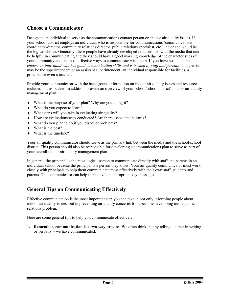#### **Choose a Communicator**

Designate an individual to serve as the communications contact person on indoor air quality issues. If your school district employs an individual who is responsible for communications (communications coordinator/director, community relations director, public relations specialist, etc.), he or she would be the logical choice. Generally, these people have already developed relationships with the media that can be helpful in communicating and they should have a good working knowledge of the characteristics of your community and the most effective ways to communicate with them. If you have no such person, *choose an individual who has good communication skills and is trusted by staff and parents.* This person may be the superintendent or an assistant superintendent, an individual responsible for facilities, a principal or even a teacher.

Provide your communicator with the background information on indoor air quality issues and resources included in this packet. In addition, provide an overview of your school/school district's indoor air quality management plan:

- ♦ What is the purpose of your plan? Why are you doing it?
- ♦ What do you expect to learn?
- ♦ What steps will you take in evaluating air quality?
- ♦ How are evaluations/tests conducted? Are there associated hazards?
- ♦ What do you plan to do if you discover problems?
- ♦ What is the cost?
- $\bullet$  What is the timeline?

Your air quality communicator should serve as the primary link between the media and the school/school district. This person should also be responsible for developing a communications plan to serve as part of your overall indoor air quality management plan.

In general, the principal is the most logical person to communicate directly with staff and parents in an individual school because the principal is a person they know. Your air quality communicator must work closely with principals to help them communicate most effectively with their own staff, students and parents. The communicator can help them develop appropriate key messages.

#### **General Tips on Communicating Effectively**

Effective communication is the most important step you can take in not only informing people about indoor air quality issues, but in preventing air quality concerns from become developing into a public relations problem.

Here are some general tips to help you communicate effectively.

**1. Remember, communication is a two-way process.** We often think that by telling – either in writing or verbally – we have communicated.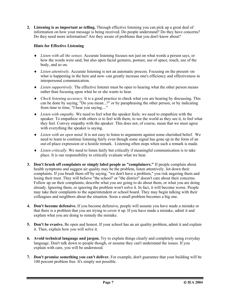**2. Listening is as important as telling.** Through effective listening you can pick up a great deal of information on how your message is being received. Do people understand? Do they have concerns? Do they need more information? Are they aware of problems that you don't know about?

#### **Hints for Effective Listening**

- ♦ *Listen with all the senses.* Accurate listening focuses not just on what words a person says, or how the words were said, but also upon facial gestures, posture, use of space, touch, use of the body, and so on.
- ♦ *Listen attentively.* Accurate listening is not an automatic process. Focusing on the present–on what is happening in the here and now–can greatly increase one's efficiency and effectiveness in interpersonal communication.
- ♦ *Listen supportively.* The effective listener must be open to hearing what the other person means rather than focusing upon what he or she wants to hear.
- ♦ *Check listening accuracy.* It is a good practice to check what you are hearing by discussing. This can be done by saying, "Do you mean...?" or by paraphrasing the other person, or by indicating from time to time, "I hear you saying...."
- ♦ *Listen with empathy.* We need to feel what the speaker feels; we need to empathize with the speaker. To empathize with others is to feel with them, to see the world as they see it, to feel what they feel. Convey empathy with the speaker. This does not, of course, mean that we must agree with everything the speaker is saying.
- ♦ *Listen with an open mind.* It is not easy to listen to arguments against some cherished belief. We need to learn to continue listening fairly even though some signal has gone up in the form of an out-of-place expression or a hostile remark. Listening often stops when such a remark is made.
- ♦ *Listen critically.* We need to listen fairly but critically if meaningful communication is to take place. It is our responsibility to critically evaluate what we hear.
- **3. Don't brush off complaints or simply label people as "complainers."** If people complain about health symptoms and suggest air quality may be the problem, listen attentively. Jot down their complaints. If you brush them off by saying, "we don't have a problem," you risk angering them and losing their trust. They will believe "the school" or "the district" doesn't care about their concerns. Follow up on their complaints; describe what you are going to do about them, or what you are doing already. Ignoring them, or ignoring the problem won't solve it. In fact, it will become worse. People may take their complaints to the superintendent or school board. They may begin talking with their colleagues and neighbors about the situation. Soon a small problem becomes a big one.
- **4. Don't become defensive.** If you become defensive, people will assume you have made a mistake or that there is a problem that you are trying to cover it up. If you have made a mistake, admit it and explain what you are doing to remedy the mistake.
- **5. Don't be evasive.** Be open and honest. If your school has an air quality problem, admit it and explain it. Then, explain how you will solve it.
- **6. Avoid technical language and jargon.** Try to explain things clearly and completely using everyday language. Don't talk down to people though, or assume they can't understand the issues. If you explain with care, you will be understood.
- **7. Don't promise something you can't deliver.** For example, don't guarantee that your building will be 100 percent problem free. It's simply not possible.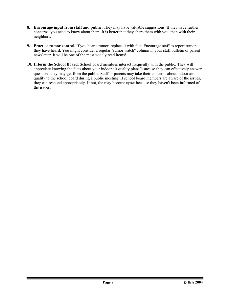- **8. Encourage input from staff and public.** They may have valuable suggestions. If they have further concerns, you need to know about them. It is better that they share them with you, than with their neighbors.
- **9. Practice rumor control.** If you hear a rumor, replace it with fact. Encourage staff to report rumors they have heard. You might consider a regular "rumor watch" column in your staff bulletin or parent newsletter. It will be one of the most widely read items!
- **10. Inform the School Board.** School board members interact frequently with the public. They will appreciate knowing the facts about your indoor air quality plans/issues so they can effectively answer questions they may get from the public. Staff or parents may take their concerns about indoor air quality to the school board during a public meeting. If school board members are aware of the issues, they can respond appropriately. If not, the may become upset because they haven't been informed of the issues.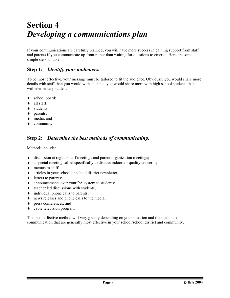## **Section 4**  *Developing a communications plan*

If your communications are carefully planned, you will have more success in gaining support from staff and parents if you communicate up front rather than waiting for questions to emerge. Here are some simple steps to take:

#### **Step 1:** *Identify your audiences.*

To be most effective, your message must be tailored to fit the audience. Obviously you would share more details with staff than you would with students; you would share more with high school students than with elementary students.

- school board;
- ♦ all staff;
- students;
- ♦ parents;
- ♦ media; and
- ♦ community.

#### **Step 2:** *Determine the best methods of communicating.*

Methods include:

- ♦ discussion at regular staff meetings and parent organization meetings;
- ♦ a special meeting called specifically to discuss indoor air quality concerns;
- ♦ memos to staff;
- ♦ articles in your school or school district newsletter;
- $\bullet$  letters to parents;
- ♦ announcements over your PA system to students;
- ♦ teacher led discussions with students;
- $\bullet$  individual phone calls to parents;
- ♦ news releases and phone calls to the media;
- ♦ press conferences; and
- ♦ cable television program.

The most effective method will vary greatly depending on your situation and the methods of communication that are generally most effective in your school/school district and community.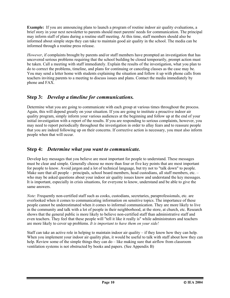**Example:** If you are announcing plans to launch a program of routine indoor air quality evaluations, a brief story in your next newsletter to parents should meet parents' needs for communication. The principal may inform staff of plans during a routine staff meeting. At this time, staff members should also be informed about simple steps they can take to maintain good air quality in the school. The media can be informed through a routine press release.

*However*, if complaints brought by parents and/or staff members have prompted an investigation that has uncovered serious problems requiring that the school building be closed temporarily, prompt action must be taken. Call a meeting with staff immediately. Explain the results of the investigation, what you plan to do to correct the problems, timeline, and plans for continuing or canceling classes as the case may be. You may send a letter home with students explaining the situation and follow it up with phone calls from teachers inviting parents to a meeting to discuss issues and plans. Contact the media immediately by phone and FAX.

#### **Step 3:** *Develop a timeline for communications.*

Determine what you are going to communicate with each group at various times throughout the process. Again, this will depend greatly on your situation. If you are going to institute a proactive indoor air quality program, simply inform your various audiences at the beginning and follow up at the end of your initial investigation with a report of the results. If you are responding to serious complaints, however, you may need to report periodically throughout the investigation in order to allay fears and to reassure people that you are indeed following up on their concerns. If corrective action is necessary, you must also inform people when that will occur.

#### **Step 4:** *Determine what you want to communicate.*

Develop key messages that you believe are most important for people to understand. These messages must be clear and simple. Generally choose no more than four or five key points that are most important for people to know. Avoid jargon and a lot of technical language, but try not to "talk down" to people. Make sure that all people – principals, school board members, head custodians, all staff members, etc. – who may be asked questions about your indoor air quality issues know and understand the key messages. It is important, especially in crisis situations, for everyone to know, understand and be able to give the same answers.

*Note:* Frequently non-certified staff such as cooks, custodians, secretaries, paraprofessionals, etc. are overlooked when it comes to communicating information on sensitive topics. The importance of these people cannot be underestimated when it comes to informal communication. They are more likely to live in the community and talk with a lot of people in their neighborhood, at the store, at church, etc. Research shows that the general public is more likely to believe non-certified staff than administrative staff and even teachers. They feel that these people will "tell it like it really is" while administrators and teachers are more likely to cover up problems. *It is important to have them on your side!* 

Staff can take an active role in helping to maintain indoor air quality – if they know how they can help. When you implement your indoor air quality plan, it would be useful to talk with staff about how they can help. Review some of the simple things they can do – like making sure that airflow from classroom ventilation systems is not obstructed by books and papers. (See Appendix B)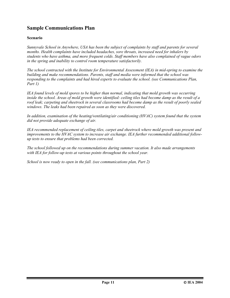#### **Sample Communications Plan**

#### **Scenario**

*Sunnyvale School in Anywhere, USA has been the subject of complaints by staff and parents for several months. Health complaints have included headaches, sore throats, increased need for inhalers by students who have asthma, and more frequent colds. Staff members have also complained of vague odors in the spring and inability to control room temperature satisfactorily.* 

*The school contracted with the Institute for Environmental Assessment (IEA) in mid-spring to examine the building and make recommendations. Parents, staff and media were informed that the school was responding to the complaints and had hired experts to evaluate the school. (see Communications Plan, Part 1)* 

*IEA found levels of mold spores to be higher than normal, indicating that mold growth was occurring inside the school. Areas of mold growth were identified: ceiling tiles had become damp as the result of a roof leak; carpeting and sheetrock in several classrooms had become damp as the result of poorly sealed windows. The leaks had been repaired as soon as they were discovered.* 

*In addition, examination of the heating/ventilating/air conditioning (HVAC) system found that the system did not provide adequate exchange of air.* 

*IEA recommended replacement of ceiling tiles, carpet and sheetrock where mold growth was present and improvements to the HVAC system to increase air exchange. IEA further recommended additional followup tests to ensure that problems had been corrected.* 

*The school followed up on the recommendations during summer vacation. It also made arrangements with IEA for follow-up tests at various points throughout the school year.* 

*School is now ready to open in the fall. (see communications plan, Part 2)*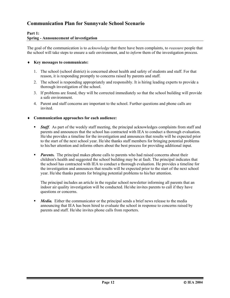#### **Communication Plan for Sunnyvale School Scenario**

#### **Part 1: Spring - Announcement of investigation**

The goal of the communication is to *acknowledge* that there have been complaints, to *reassure* people that the school will take steps to ensure a safe environment, and to *inform* them of the investigation process.

#### ♦ **Key messages to communicate:**

- 1. The school (school district) is concerned about health and safety of students and staff. For that reason, it is responding promptly to concerns raised by parents and staff.
- 2. The school is responding appropriately and responsibly. It is hiring leading experts to provide a thorough investigation of the school.
- 3. If problems are found, they will be corrected immediately so that the school building will provide a safe environment.
- 4. Parent and staff concerns are important to the school. Further questions and phone calls are invited.

#### ♦ **Communication approaches for each audience:**

- *Staff.* As part of the weekly staff meeting, the principal acknowledges complaints from staff and parents and announces that the school has contracted with IEA to conduct a thorough evaluation. He/she provides a timeline for the investigation and announces that results will be expected prior to the start of the next school year. He/she thanks staff members for bringing potential problems to his/her attention and informs others about the best process for providing additional input.
- *Parents.* The principal makes phone calls to parents who had raised concerns about their children's health and suggested the school building may be at fault. The principal indicates that the school has contracted with IEA to conduct a thorough evaluation. He provides a timeline for the investigation and announces that results will be expected prior to the start of the next school year. He/she thanks parents for bringing potential problems to his/her attention.

The principal includes an article in the regular school newsletter informing all parents that an indoor air quality investigation will be conducted. He/she invites parents to call if they have questions or concerns.

*Media.* Either the communicator or the principal sends a brief news release to the media announcing that IEA has been hired to evaluate the school in response to concerns raised by parents and staff. He/she invites phone calls from reporters.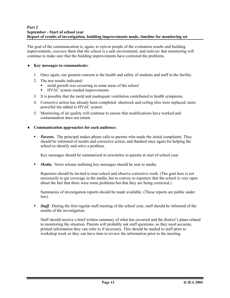#### **Part 2 September - Start of school year Report of results of investigation, building improvements made, timeline for monitoring set**

The goal of the communication is, again, to *inform* people of the evaluation results and building improvements, *reassure* them that the school is a safe environment, and *indicate* that monitoring will continue to make sure that the building improvements have corrected the problems.

#### ♦ **Key messages to communicate:**

- 1. Once again, our greatest concern is the health and safety of students and staff in the facility.
- 2. The test results indicated:
	- mold growth was occurring in some areas of the school
	- **HVAC** system needed improvements
- 3. It is possible that the mold and inadequate ventilation contributed to health symptoms.
- 4. Corrective action has already been completed: sheetrock and ceiling tiles were replaced; more powerful fan added to HVAC system
- 5. Monitoring of air quality will continue to ensure that modifications have worked and contamination does not return.

#### ♦ **Communication approaches for each audience:**

*Parents.* The principal makes phone calls to parents who made the initial complaints. They should be informed of results and corrective action, and thanked once again for helping the school to identify and solve a problem.

Key messages should be summarized in newsletter to parents at start of school year.

*Media.* News release outlining key messages should be sent to media.

Reporters should be invited to tour school and observe corrective work. (The goal here is not necessarily to get coverage in the media, but to convey to reporters that the school is very open about the fact that there were some problems but that they are being corrected.)

Summaries of investigation reports should be made available. (These reports are public under law).

*Staff.* During the first regular staff meeting of the school year, staff should be informed of the results of the investigation.

Staff should receive a brief written summary of what has occurred and the district's plans related to monitoring the situation. Parents will probably ask staff questions, so they need accurate, printed information they can refer to if necessary. This should be mailed to staff prior to workshop week so they can have time to review the information prior to the meeting.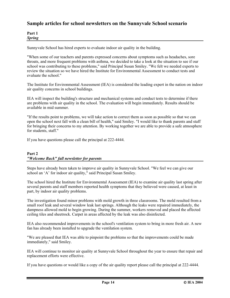#### **Sample articles for school newsletters on the Sunnyvale School scenario**

| Part 1        |  |
|---------------|--|
| <b>Spring</b> |  |

Sunnyvale School has hired experts to evaluate indoor air quality in the building.

"When some of our teachers and parents expressed concerns about symptoms such as headaches, sore throats, and more frequent problems with asthma, we decided to take a look at the situation to see if our school was contributing to these problems," said Principal Susan Smiley. "We felt we needed experts to review the situation so we have hired the Institute for Environmental Assessment to conduct tests and evaluate the school."

The Institute for Environmental Assessment (IEA) is considered the leading expert in the nation on indoor air quality concerns in school buildings.

IEA will inspect the building's structure and mechanical systems and conduct tests to determine if there are problems with air quality in the school. The evaluation will begin immediately. Results should be available in mid summer.

"If the results point to problems, we will take action to correct them as soon as possible so that we can open the school next fall with a clean bill of health," said Smiley. "I would like to thank parents and staff for bringing their concerns to my attention. By working together we are able to provide a safe atmosphere for students, staff."

If you have questions please call the principal at 222-4444.

#### **Part 2**  *"Welcome Back" fall newsletter for parents*

Steps have already been taken to improve air quality in Sunnyvale School. "We feel we can give our school an 'A' for indoor air quality," said Principal Susan Smiley.

The school hired the Institute for Environmental Assessment (IEA) to examine air quality last spring after several parents and staff members reported health symptoms that they believed were caused, at least in part, by indoor air quality problems.

The investigation found minor problems with mold growth in three classrooms. The mold resulted from a small roof leak and several window leak last springs. Although the leaks were repaired immediately, the dampness allowed mold to begin growing. During the summer, workers removed and placed the affected ceiling tiles and sheetrock. Carpet in areas affected by the leak was also disinfected.

IEA also recommended improvements in the school's ventilation system to bring in more fresh air. A new fan has already been installed to upgrade the ventilation system.

"We are pleased that IEA was able to pinpoint the problems so that the improvements could be made immediately," said Smiley.

IEA will continue to monitor air quality at Sunnyvale School throughout the year to ensure that repair and replacement efforts were effective.

If you have questions or would like a copy of the air quality report please call the principal at 222-4444.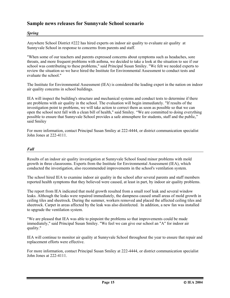#### **Sample news releases for Sunnyvale School scenario**

#### *Spring*

Anywhere School District #222 has hired experts on indoor air quality to evaluate air quality at Sunnyvale School in response to concerns from parents and staff.

"When some of our teachers and parents expressed concerns about symptoms such as headaches, sore throats, and more frequent problems with asthma, we decided to take a look at the situation to see if our school was contributing to these problems," said Principal Susan Smiley. "We felt we needed experts to review the situation so we have hired the Institute for Environmental Assessment to conduct tests and evaluate the school."

The Institute for Environmental Assessment (IEA) is considered the leading expert in the nation on indoor air quality concerns in school buildings.

IEA will inspect the building's structure and mechanical systems and conduct tests to determine if there are problems with air quality in the school. The evaluation will begin immediately. "If results of the investigation point to problems, we will take action to correct them as soon as possible so that we can open the school next fall with a clean bill of health," said Smiley. "We are committed to doing everything possible to ensure that Sunnyvale School provides a safe atmosphere for students, staff and the public," said Smiley

For more information, contact Principal Susan Smiley at 222-4444, or district communication specialist John Jones at 222-4111.

#### *Fall*

Results of an indoor air quality investigation at Sunnyvale School found minor problems with mold growth in three classrooms. Experts from the Institute for Environmental Assessment (IEA), which conducted the investigation, also recommended improvements in the school's ventilation system.

The school hired IEA to examine indoor air quality in the school after several parents and staff members reported health symptoms that they believed were caused, at least in part, by indoor air quality problems.

The report from IEA indicated that mold growth resulted from a small roof leak and several window leaks. Although the leaks were repaired immediately, the dampness caused small areas of mold growth in ceiling tiles and sheetrock. During the summer, workers removed and placed the affected ceiling tiles and sheetrock. Carpet in areas affected by the leak was also disinfected. In addition, a new fan was installed to upgrade the ventilation system.

"We are pleased that IEA was able to pinpoint the problems so that improvements could be made immediately," said Principal Susan Smiley. "We feel we can give our school an "A" for indoor air quality."

IEA will continue to monitor air quality at Sunnyvale School throughout the year to ensure that repair and replacement efforts were effective.

For more information, contact Principal Susan Smiley at 222-4444, or district communication specialist John Jones at 222-4111.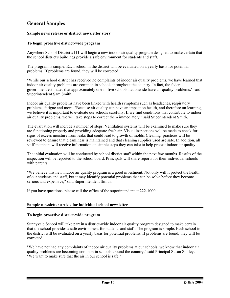#### **General Samples**

#### **Sample news release or district newsletter story**

#### **To begin proactive district-wide program**

Anywhere School District #111 will begin a new indoor air quality program designed to make certain that the school district's buildings provide a safe environment for students and staff.

The program is simple. Each school in the district will be evaluated on a yearly basis for potential problems. If problems are found, they will be corrected.

"While our school district has received no complaints of indoor air quality problems, we have learned that indoor air quality problems are common in schools throughout the country. In fact, the federal government estimates that approximately one in five schools nationwide have air quality problems," said Superintendent Sam Smith.

Indoor air quality problems have been linked with health symptoms such as headaches, respiratory problems, fatigue and more. "Because air quality can have an impact on health, and therefore on learning, we believe it is important to evaluate our schools carefully. If we find conditions that contribute to indoor air quality problems, we will take steps to correct them immediately," said Superintendent Smith.

The evaluation will include a number of steps. Ventilation systems will be examined to make sure they are functioning properly and providing adequate fresh air. Visual inspections will be made to check for signs of excess moisture from leaks that could lead to growth of molds. Cleaning practices will be reviewed to ensure that cleanliness is maintained and that cleaning supplies used are safe. In addition, all staff members will receive information on simple steps they can take to help protect indoor air quality.

The initial evaluation will be conducted by school district staff within the next few months. Results of the inspection will be reported to the school board. Principals will share reports for their individual schools with parents.

"We believe this new indoor air quality program is a good investment. Not only will it protect the health of our students and staff, but it may identify potential problems that can be solve before they become serious and expensive," said Superintendent Smith.

If you have questions, please call the office of the superintendent at 222-1000.

#### **Sample newsletter article for individual school newsletter**

#### **To begin proactive district-wide program**

Sunnyvale School will take part in a district-wide indoor air quality program designed to make certain that the school provides a safe environment for students and staff. The program is simple. Each school in the district will be evaluated on a yearly basis for potential problems. If problems are found, they will be corrected.

"We have not had any complaints of indoor air quality problems at our schools, we know that indoor air quality problems are becoming common in schools around the country," said Principal Susan Smiley. "We want to make sure that the air in our school is safe."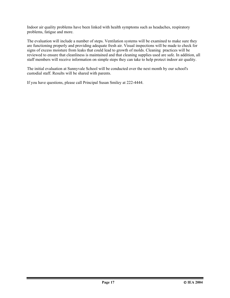Indoor air quality problems have been linked with health symptoms such as headaches, respiratory problems, fatigue and more.

The evaluation will include a number of steps. Ventilation systems will be examined to make sure they are functioning properly and providing adequate fresh air. Visual inspections will be made to check for signs of excess moisture from leaks that could lead to growth of molds. Cleaning practices will be reviewed to ensure that cleanliness is maintained and that cleaning supplies used are safe. In addition, all staff members will receive information on simple steps they can take to help protect indoor air quality.

The initial evaluation at Sunnyvale School will be conducted over the next month by our school's custodial staff. Results will be shared with parents.

If you have questions, please call Principal Susan Smiley at 222-4444.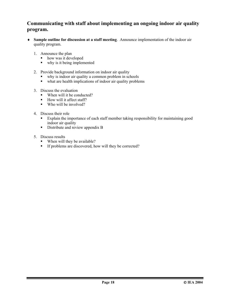#### **Communicating with staff about implementing an ongoing indoor air quality program.**

- ♦ **Sample outline for discussion at a staff meeting**. Announce implementation of the indoor air quality program.
	- 1. Announce the plan
		- how was it developed
		- why is it being implemented
	- 2. Provide background information on indoor air quality
		- why is indoor air quality a common problem in schools<br>• what are health implications of indoor air quality proble
		- what are health implications of indoor air quality problems
	- 3. Discuss the evaluation
		- When will it be conducted?
		- How will it affect staff?
		- $\blacksquare$  Who will be involved?
	- 4. Discuss their role
		- Explain the importance of each staff member taking responsibility for maintaining good indoor air quality
		- Distribute and review appendix B
	- 5. Discuss results
		- When will they be available?
		- If problems are discovered, how will they be corrected?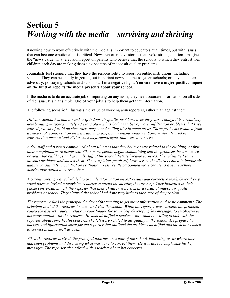## **Section 5**  *Working with the media—surviving and thriving*

Knowing how to work effectively with the media is important to educators at all times, but with issues that can become emotional, it is critical. News reporters love stories that evoke strong emotion. Imagine the "news value" in a television report on parents who believe that the schools to which they entrust their children each day are making them sick because of indoor air quality problems.

Journalists feel strongly that they have the responsibility to report on public institutions, including schools. They can be an ally in getting out important news and messages on schools; or they can be an adversary, portraying schools and school staff in a negative light. **You can have a major positive impact on the kind of reports the media presents about your school.** 

If the media is to do an accurate job of reporting on any issue, they need accurate information on all sides of the issue. It's that simple. One of your jobs is to help them get that information.

The following scenario\* illustrates the value of working *with* reporters, rather than against them.

*Hillview School has had a number of indoor air quality problems over the years. Though it is a relatively new building – approximately 10 years old – it has had a number of water infiltration problems that have caused growth of mold on sheetrock, carpet and ceiling tiles in some areas. These problems resulted from a leaky roof, condensation on uninsulated pipes, and unsealed windows. Some materials used in construction also emitted VOCs, such as formaldehyde, that were a concern.* 

*A few staff and parents complained about illnesses that they believe were related to the building. At first their complaints were dismissed. When more people began complaining and the problems became more obvious, the buildings and grounds staff of the school district became involved. They identified some obvious problems and solved them. The complaints persisted, however, so the district called in indoor air quality consultants to conduct an evaluation. Test results pinpointed more problems and the school district took action to correct them.* 

*A parent meeting was scheduled to provide information on test results and corrective work. Several very vocal parents invited a television reporter to attend the meeting that evening. They indicated in their phone conversation with the reporter that their children were sick as a result of indoor air quality problems at school. They claimed the school had done very little to take care of the problem.* 

*The reporter called the principal the day of the meeting to get more information and some comments. The principal invited the reporter to come and visit the school. While the reporter was enroute, the principal called the district's public relations coordinator for some help developing key messages to emphasize in his conversation with the reporter. He also identified a teacher who would be willing to talk with the reporter about some health concerns she felt were related to air quality at the school. He prepared a background information sheet for the reporter that outlined the problems identified and the actions taken to correct them, as well as costs.* 

*When the reporter arrived, the principal took her on a tour of the school, indicating areas where there had been problems and discussing what was done to correct them. He was able to emphasize his key messages. The reporter also talked with a teacher about her concerns.*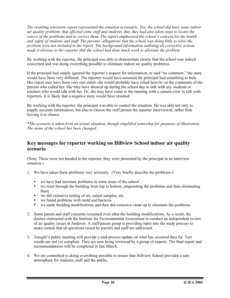*The resulting television report represented the situation accurately. Yes, the school did have some indoor air quality problems that affected some staff and students. But, they had also taken steps to locate the source of the problems and to correct them. The report emphasized the school's concern for the health and safety of students and staff. The parents' allegations that the school was doing little to solve the problem were not included in the report. The background information outlining all corrective actions made it obvious to the reporter that the school had done much work to alleviate the problem.* 

By working with the reporter, the principal was able to demonstrate clearly that the school was indeed concerned and was doing everything possible to eliminate indoor air quality problems.

If the principal had simply ignored the reporter's request for information, or said "no comment," the story would have been very different. The reporter would have assumed the principal had something to hide. Her report may have been very one-sided; she would probably have relied heavily on the comments of the parents who called her. She may have showed up during the school day to talk with any students or teachers who would talk with her. Or, she may have come to the meeting with a camera crew to talk with reporters. It is likely that a negative story would have resulted.

By working with the reporter, the principal was able to control the situation. He was able not only to supply accurate information, but also to choose the staff person the reporter interviewed, rather than leaving it to chance.

*\*The scenario is taken from an actual situation, though simplified somewhat for purposes of illustration. The name of the school has been changed.* 

#### **Key messages for reporter working on Hillview School indoor air quality scenario**

(Note: These were not handed to the reporter; they were presented by the principal in an interview situation.)

- 1. We have taken these problems very seriously. (Very briefly describe the problems:)
	- we have had moisture problems in some areas of the school
	- we went through the building from top to bottom, pinpointing the problems and then eliminating them
	- we did extensive testing of air, carpet samples, etc.
	- we found problems with mold and bacteria
	- we made building modifications and then did extensive clean up to eliminate the problems.
- 2. Some parent and staff concerns remained even after the building modifications. As a result, the district contracted with the Institute for Environmental Assessment to conduct an independent review of air quality issues at Andover. A staff/parent group is providing input into the study process to make certain that all questions raised by parents and staff are addressed.
- 3. Tonight's public meeting will provide a mid-process update on what has occurred thus far. Test results are not yet complete. They are now being reviewed by a group of experts. The final report and recommendations will be completed in late March.
- 4. We are committed to doing everything possible to ensure that Hillview School provides a safe atmosphere for students, staff and the public.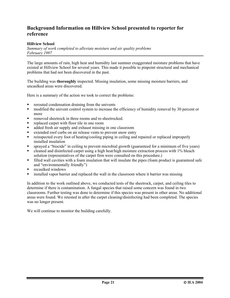#### **Background Information on Hillview School presented to reporter for reference**

#### **Hillview School**

*Summary of work completed to alleviate moisture and air quality problems February 1997* 

The large amounts of rain, high heat and humidity last summer exaggerated moisture problems that have existed at Hillview School for several years. This made it possible to pinpoint structural and mechanical problems that had not been discovered in the past.

The building was **thoroughly** inspected. Missing insulation, some missing moisture barriers, and uncaulked areas were discovered.

Here is a summary of the action we took to correct the problems:

- rerouted condensation draining from the univents
- **F** modified the univent control system to increase the efficiency of humidity removal by 30 percent or more
- removed sheetrock in three rooms and re-sheetrocked.
- **•** replaced carpet with floor tile in one room
- added fresh air supply and exhaust missing in one classroom
- extended roof curbs on air release vents to prevent snow entry
- reinspected every foot of heating/cooling piping in ceiling and repaired or replaced improperly installed insulation
- sprayed a "biocide" in ceiling to prevent microbial growth (guaranteed for a minimum of five years)
- cleaned and disinfected carpet using a high heat/high moisture extraction process with 1% bleach solution (representatives of the carpet firm were consulted on this procedure.)
- filled wall cavities with a foam insulation that will insulate the pipes (foam product is guaranteed safe and "environmentally friendly")
- recaulked windows
- installed vapor barrier and replaced the wall in the classroom where it barrier was missing

In addition to the work outlined above, we conducted tests of the sheetrock, carpet, and ceiling tiles to determine if there is contamination. A fungal species that raised some concern was found in two classrooms. Further testing was done to determine if this species was present in other areas. No additional areas were found. We retested in after the carpet cleaning/disinfecting had been completed. The species was no longer present.

We will continue to monitor the building carefully.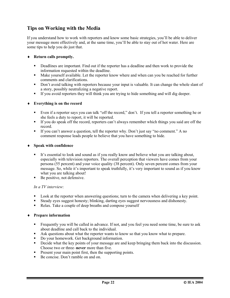#### **Tips on Working with the Media**

If you understand how to work with reporters and know some basic strategies, you'll be able to deliver your message more effectively and, at the same time, you'll be able to stay out of hot water. Here are some tips to help you do just that.

#### ♦ **Return calls promptly.**

- Deadlines are important. Find out if the reporter has a deadline and then work to provide the information requested within the deadline.
- Make yourself available. Let the reporter know where and when can you be reached for further comments and clarifications.
- Don't avoid talking with reporters because your input is valuable. It can change the whole slant of a story, possibly neutralizing a negative report.
- If you avoid reporters they will think you are trying to hide something and will dig deeper.

#### ♦ **Everything is on the record**

- Even if a reporter says you can talk "off the record," don't. If you tell a reporter something he or she feels a duty to report, it will be reported.
- If you do speak off the record, reporters can't always remember which things you said are off the record.
- If you can't answer a question, tell the reporter why. Don't just say "no comment." A no comment response leads people to believe that you have something to hide.

#### ♦ **Speak with confidence**

- It's essential to look and sound as if you really know and believe what you are talking about, especially with television reporters. The overall perception that viewers have comes from your persona (55 percent) and your voice quality (38 percent). Only seven percent comes from your message. So, while it's important to speak truthfully, it's very important to sound as if you know what you are talking about!
- Be positive, not defensive.

#### *In a TV interview*:

- **Look at the reporter when answering questions; turn to the camera when delivering a key point.**
- Steady eyes suggest honesty; blinking, darting eyes suggest nervousness and dishonesty.
- Relax. Take a couple of deep breaths and compose yourself

#### ♦ **Prepare information**

- Frequently you will be called in advance. If not, and you feel you need some time, be sure to ask about deadline and call back to the individual.
- Ask questions about what the reporter wants to know so that you know what to prepare.
- Do your homework. Get background information.
- Decide what the key points of your message are and keep bringing them back into the discussion. Choose two or three–**never** more than five.
- **Present your main point first, then the supporting points.**
- Be concise. Don't ramble on and on.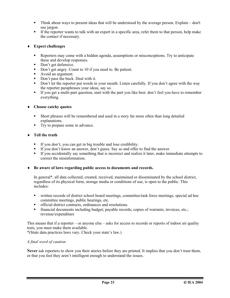- Think about ways to present ideas that will be understood by the average person. Explain don't use jargon.
- If the reporter wants to talk with an expert in a specific area, refer them to that person, help make the contact if necessary.

#### ♦ **Expect challenges**

- Reporters may come with a hidden agenda, assumptions or misconceptions. Try to anticipate these and develop responses.
- Don't get defensive.
- Don't get angry. Count to 10 if you need to. Be patient.
- Avoid an argument.
- Don't pass the buck. Deal with it.
- Don't let the reporter put words in your mouth. Listen carefully. If you don't agree with the way the reporter paraphrases your ideas, say so.
- If you get a multi-part question, start with the part you like best. don't feel you have to remember everything.
- ♦ **Choose catchy quotes** 
	- Short phrases will be remembered and used in a story far more often than long detailed explanations.
	- Try to prepare some in advance.

#### ♦ **Tell the truth**

- If you don't, you can get in big trouble and lose credibility.
- If you don't know an answer, don't guess. Say so and offer to find the answer.
- If you accidentally say something that is incorrect and realize it later, make immediate attempts to correct the misinformation.
- ♦ **Be aware of laws regarding public access to documents and records.**

In general\*, all data collected, created, received, maintained or disseminated by the school district, regardless of its physical form, storage media or conditions of use, is open to the public. This includes:

- written records of district school board meetings, committee/task force meetings, special ad hoc committee meetings, public hearings, etc.
- official district contracts, ordinances and resolutions.
- financial documents including budget; payable records; copies of warrants, invoices, etc.; revenue/expenditure

This means that if a reporter – or anyone else – asks for access to records or reports of indoor air quality tests, you must make them available.

\*(State data practices laws vary. Check your state's law.)

#### *A final word of caution:*

**Never** ask reporters to show you their stories before they are printed. It implies that you don't trust them, or that you feel they aren't intelligent enough to understand the issues.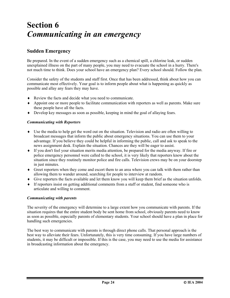## **Section 6**  *Communicating in an emergency*

#### **Sudden Emergency**

Be prepared. In the event of a sudden emergency such as a chemical spill, a chlorine leak, or sudden unexplained illness on the part of many people, you may need to evacuate the school in a hurry. There's not much time to think. Does your school have an emergency plan? Every school should. Follow the plan.

Consider the safety of the students and staff first. Once that has been addressed, think about how you can communicate most effectively. Your goal is to inform people about what is happening as quickly as possible and allay any fears they may have.

- ♦ Review the facts and decide what you need to communicate.
- ♦ Appoint one or more people to facilitate communication with reporters as well as parents. Make sure these people have all the facts.
- ♦ Develop key messages as soon as possible, keeping in mind the goal of allaying fears.

#### *Communicating with Reporters*

- ♦ Use the media to help get the word out on the situation. Television and radio are often willing to broadcast messages that inform the public about emergency situations. You can use them to your advantage. If you believe they could be helpful in informing the public, call and ask to speak to the news assignment desk. Explain the situation. Chances are they will be eager to assist.
- ♦ If you don't feel your situation merits media attention, be prepared for the media anyway. If fire or police emergency personnel were called to the school, it is very likely that reporters know about the situation since they routinely monitor police and fire calls. Television crews may be on your doorstep in just minutes.
- ♦ Greet reporters when they come and escort them to an area where you can talk with them rather than allowing them to wander around, searching for people to interview at random.
- ♦ Give reporters the facts available and let them know you will keep them brief as the situation unfolds.
- ♦ If reporters insist on getting additional comments from a staff or student, find someone who is articulate and willing to comment.

#### *Communicating with parents*

The severity of the emergency will determine to a large extent how you communicate with parents. If the situation requires that the entire student body be sent home from school, obviously parents need to know as soon as possible, especially parents of elementary students. Your school should have a plan in place for handling such emergencies.

The best way to communicate with parents is through direct phone calls. That personal approach is the best way to alleviate their fears. Unfortunately, this is very time consuming. If you have large numbers of students, it may be difficult or impossible. If this is the case, you may need to use the media for assistance in broadcasting information about the emergency.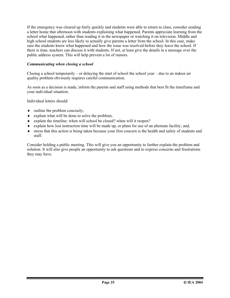If the emergency was cleared up fairly quickly and students were able to return to class, consider sending a letter home that afternoon with students explaining what happened. Parents appreciate learning from the school what happened, rather than reading it in the newspaper or watching it on television. Middle and high school students are less likely to actually give parents a letter from the school. In this case, make sure the students know what happened and how the issue was resolved before they leave the school. If there is time, teachers can discuss it with students. If not, at least give the details in a message over the public address system. This will help prevent a lot of rumors.

#### *Communicating when closing a school*

Closing a school temporarily – or delaying the start of school the school year – due to an indoor air quality problem obviously requires careful communication.

As soon as a decision is made, inform the parents and staff using methods that best fit the timeframe and your individual situation.

Individual letters should:

- $\bullet$  outline the problem concisely;
- ♦ explain what will be done to solve the problem;
- ♦ explain the timeline: when will school be closed? when will it reopen?
- ♦ explain how lost instruction time will be made up, or plans for use of an alternate facility; and,
- ♦ stress that this action is being taken because your first concern is the health and safety of students and staff.

Consider holding a public meeting. This will give you an opportunity to further explain the problem and solution. It will also give people an opportunity to ask questions and to express concerns and frustrations they may have.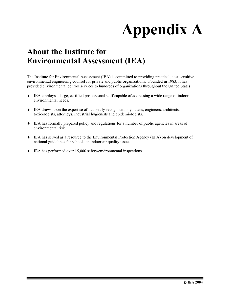# **Appendix A**

## **About the Institute for Environmental Assessment (IEA)**

The Institute for Environmental Assessment (IEA) is committed to providing practical, cost-sensitive environmental engineering counsel for private and public organizations. Founded in 1983, it has provided environmental control services to hundreds of organizations throughout the United States.

- ♦ IEA employs a large, certified professional staff capable of addressing a wide range of indoor environmental needs.
- ♦ IEA draws upon the expertise of nationally-recognized physicians, engineers, architects, toxicologists, attorneys, industrial hygienists and epidemiologists.
- ♦ IEA has formally prepared policy and regulations for a number of public agencies in areas of environmental risk.
- ♦ IEA has served as a resource to the Environmental Protection Agency (EPA) on development of national guidelines for schools on indoor air quality issues.
- ♦ IEA has performed over 15,000 safety/environmental inspections.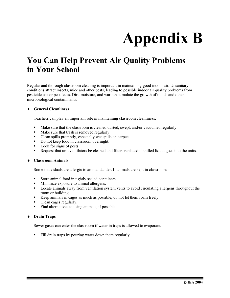# **Appendix B**

## **You Can Help Prevent Air Quality Problems in Your School**

Regular and thorough classroom cleaning is important in maintaining good indoor air. Unsanitary conditions attract insects, mice and other pests, leading to possible indoor air quality problems from pesticide use or pest feces. Dirt, moisture, and warmth stimulate the growth of molds and other microbiological contaminants.

#### ♦ **General Cleanliness**

Teachers can play an important role in maintaining classroom cleanliness.

- Make sure that the classroom is cleaned dusted, swept, and/or vacuumed regularly.
- Make sure that trash is removed regularly.
- Clean spills promptly, especially wet spills on carpets.
- Do not keep food in classroom overnight.
- Look for signs of pests.
- Request that unit ventilators be cleaned and filters replaced if spilled liquid goes into the units.

#### ♦ **Classroom Animals**

Some individuals are allergic to animal dander. If animals are kept in classroom:

- Store animal food in tightly sealed containers.
- Minimize exposure to animal allergens.
- **Locate animals away from ventilation system vents to avoid circulating allergens throughout the** room or building.
- Keep animals in cages as much as possible; do not let them roam freely.
- Clean cages regularly.
- Find alternatives to using animals, if possible.

#### ♦ **Drain Traps**

Sewer gases can enter the classroom if water in traps is allowed to evaporate.

Fill drain traps by pouring water down them regularly.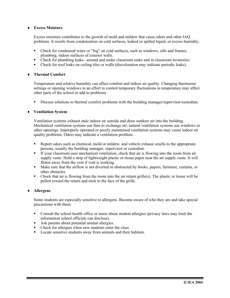#### ♦ **Excess Moisture**

Excess moisture contributes to the growth of mold and mildew that cause odors and other IAQ problems. It results from condensation on cold surfaces, leaked or spilled liquid, or excess humidity.

- Check for condensed water or "fog" on cold surfaces, such as windows, sills and frames; plumbing; indoor surfaces of exterior walls.
- Check for plumbing leaks– around and under classroom sinks and in classroom lavatories;
- Check for roof leaks on ceiling tiles or walls (discoloration may indicate periodic leaks).

#### ♦ **Thermal Comfort**

Temperature and relative humidity can affect comfort and indoor air quality. Changing thermostat settings or opening windows in an effort to control temporary fluctuations in temperature may affect other parts of the school or add to problems.

Discuss solutions to thermal comfort problems with the building manager/supervisor/custodian.

#### ♦ **Ventilation System**

Ventilation systems exhaust stale indoor air outside and draw outdoor air into the building. Mechanical ventilation systems use fans to exchange air; natural ventilation systems use windows or other openings. Improperly operated or poorly maintained ventilation systems may cause indoor air quality problems. Odors may indicate a ventilation problem.

- Report odors such as chemical, mold or mildew, and vehicle exhaust smells to the appropriate persons, usually the building manager, supervisor or custodian.
- If your classroom uses mechanical ventilation, check that air is flowing into the room from air supply vents. Hold a strip of lightweight plastic or tissue paper near the air supply vents. It will flutter away from the vent if vent is working.
- Make sure that the airflow is not diverted or obstructed by books, papers, furniture, curtains, or other obstacles.
- Check that air is flowing from the room into the air return grille(s). The plastic or tissue will be pulled toward the return and stick to the face of the grille.

#### ♦ **Allergens**

Some students are especially sensitive to allergens. Become aware of who they are and take special precautions with them:

- Consult the school health office or nurse about student allergies (privacy laws may limit the information school officials can disclose).
- Ask parents about potential animal allergies.
- Check for allergies when new students enter the class.
- Locate sensitive students away from animals and their habitats.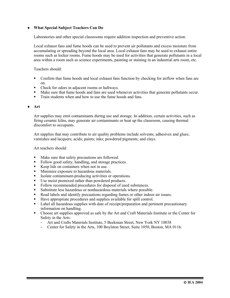#### ♦ **What Special Subject Teachers Can Do**

Laboratories and other special classrooms require addition inspection and preventive action.

Local exhaust fans and fume hoods can be used to prevent air pollutants and excess moisture from accumulating or spreading beyond the local area. Local exhaust fans may be used to exhaust entire rooms such as locker rooms. Fume hoods may be used for activities that generate pollutants in a local area within a room such as science experiments, painting or staining in an industrial arts room, etc.

Teachers should:

- Confirm that fume hoods and local exhaust fans function by checking for airflow when fans are on.
- Check for odors in adjacent rooms or hallways.
- Make sure that fume hoods and fans are used whenever activities that generate pollutants occur.
- Train students when and how to use the fume hoods and fans.

#### ♦ **Art**

Art supplies may emit contaminants during use and storage. In addition, certain activities, such as firing ceramic kilns, may generate air contaminants or heat up the classroom, causing thermal discomfort to occupants.

Art supplies that may contribute to air quality problems include solvents; adhesives and glues; varnishes and lacquers; acids; paints; inks; powdered pigments; and clays.

Art teachers should:

- Make sure that safety precautions are followed.
- Follow good safety, handling, and storage practices.
- Keep lids on containers when not in use.
- **Minimize exposure to hazardous materials.**
- Isolate contaminant-producing activities or operations.
- Use moist premixed rather than powdered products.
- Follow recommended procedures for disposal of used substances.
- Substitute less hazardous or nonhazardous materials where possible.
- Read labels and identify precautions regarding fumes or other indoor air issues.
- Have appropriate procedures and supplies available for spill control.
- Label all hazardous supplies with date of receipt/preparation and pertinent precautionary information on handling.
- Choose art supplies approved as safe by the Art and Craft Materials Institute or the Center for Safety in the Arts:
	- Art and Crafts Materials Institute, 5 Beekman Street, New York NY 10038
	- Center for Safety in the Arts, 100 Boylston Street, Suite 1050, Boston, MA 0116.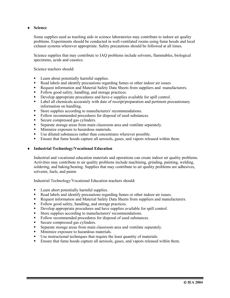#### ♦ **Science**

Some supplies used as teaching aids in science laboratories may contribute to indoor air quality problems. Experiments should be conducted in well-ventilated rooms using fume hoods and local exhaust systems wherever appropriate. Safety precautions should be followed at all times.

Science supplies that may contribute to IAQ problems include solvents, flammables, biological specimens, acids and caustics.

Science teachers should:

- **Learn about potentially harmful supplies.**
- Read labels and identify precautions regarding fumes or other indoor air issues
- Request information and Material Safety Data Sheets from suppliers and manufacturers.
- Follow good safety, handling, and storage practices.
- Develop appropriate procedures and have-e supplies available for spill control.
- **EXECUTE:** Label all chemicals accurately with date of receipt/preparation and pertinent precautionary information on handling.
- Store supplies according to manufacturers' recommendations.
- Follow recommended procedures for disposal of used substances.
- Secure compressed gas cylinders.
- Separate storage areas from main classroom area and ventilate separately.
- **Minimize exposure to hazardous materials.**
- Use diluted substances rather than concentrates wherever possible.
- Ensure that fume hoods capture all aerosols, gases, and vapors released within them.

#### ♦ **Industrial Technology/Vocational Education**

Industrial and vocational education materials and operations can create indoor air quality problems. Activities may contribute to air quality problems include machining, grinding, painting, welding, soldering, and baking/heating. Supplies that may contribute to air quality problems are adhesives, solvents, fuels, and paints

Industrial Technology/Vocational Education teachers should:

- **Learn abort potentially harmful supplies.**
- Read labels and identify precautions regarding fumes or other indoor air issues.
- Request information and Material Safety Data Sheets from suppliers and manufacturers.
- Follow good safety, handling, and storage practices.
- Develop appropriate procedures and have supplies available for spill control.
- Store supplies according to manufacturers' recommendations.
- Follow recommended procedures for disposal of used substances.
- Secure compressed gas cylinders.
- Separate storage areas from main classroom area and ventilate separately.
- Minimize exposure to hazardous materials.
- Use instructional techniques that require the least quantity of materials.
- Ensure that fume hoods capture all aerosols, gases, and vapors released within them.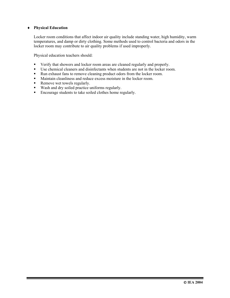#### ♦ **Physical Education**

Locker room conditions that affect indoor air quality include standing water, high humidity, warm temperatures, and damp or dirty clothing. Some methods used to control bacteria and odors in the locker room may contribute to air quality problems if used improperly.

Physical education teachers should:

- Verify that showers and locker room areas are cleaned regularly and properly.
- Use chemical cleaners and disinfectants when students are not in the locker room.
- Run exhaust fans to remove cleaning product odors from the locker room.
- Maintain cleanliness and reduce excess moisture in the locker room.
- Remove wet towels regularly.
- Wash and dry soiled practice uniforms regularly.
- Encourage students to take soiled clothes home regularly.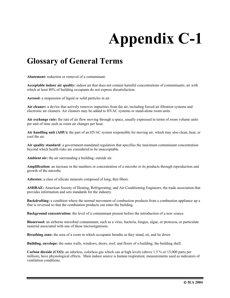# **Appendix C-1**

## **Glossary of General Terms**

**Abatement:** reduction or removal of a contaminant.

**Acceptable indoor air quality:** indoor air that does not contain harmful concentrations of contaminants; air with which at least 80% of building occupants do not express dissatisfaction.

**Aerosol:** a suspension of liquid or solid particles in air.

**Air cleaner:** a device that actively removes impurities from the air, including forced air filtration systems and electronic air cleaners. Air cleaners may be added to HVAC systems or stand-alone room units.

**Air exchange rate:** the rate of air flow moving through a space, usually expressed in terms of room volume units per unit of time such as room air changes per hour.

**Air handling unit (AHU):** the part of an HVAC system responsible for moving air, which may also clean, heat, or cool the air.

**Air quality standard:** a government-mandated regulation that specifies the maximum contaminant concentration beyond which health risks are considered to be unacceptable.

**Ambient air:** the air surrounding a building; outside air.

**Amplification:** an increase in the numbers or concentration of a microbe or its products through reproduction and growth of the microbe.

**Asbestos:** a class of silicate minerals composed of long, thin fibers.

**ASHRAE:** American Society of Heating, Refrigerating, and Air Conditioning Engineers; the trade association that provides information and sets standards for the industry.

**Backdrafting:** a condition where the normal movement of combustion products from a combustion appliance up a flue is reversed so that the combustion products can enter the building.

**Background concentration:** the level of a contaminant present before the introduction of a new source.

**Bioaerosol:** an airborne microbial contaminant, such as a virus, bacteria, fungus, algae, or protozoa, or particulate material associated with one of these microorganisms.

**Breathing zone:** the area of a room in which occupants breathe as they stand, sit, and lie down

**Building, envelope:** the outer walls, windows, doors, roof, and floors of a building; the building shell.

**Carbon dioxide (CO2):** an odorless, colorless gas which can at high levels (above 1.5 % or 15,000 parts per million), have physiological effects. Main indoor source is human respiration; measurements used as indicators of ventilation conditions.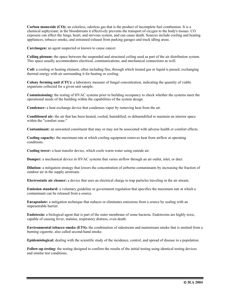**Carbon monoxide (CO):** an colorless, odorless gas that is the product of incomplete fuel combustion. It is a chemical asphyxiant; in the bloodstream it effectively prevents the transport of oxygen to the body's tissues. CO exposure can affect the lungs, heart, and nervous system, and can cause death. Sources include cooling and heating appliances, tobacco smoke, and entrained exhaust from parking garages and truck idling areas.

**Carcinogen:** an agent suspected or known to cause cancer.

**Ceiling plenum:** the space between the suspended and structural ceiling used as part of the air distribution system. This space usually accommodates electrical, communications, and mechanical connections as well.

**Coil:** a cooling or heating element, often including fins, through which treated gas or liquid is passed, exchanging thermal energy with air surrounding it for heating or cooling.

**Colony forming unit (CFU):** a laboratory measure of fungal concentration, indicating the quantity of viable organisms collected for a given unit sample.

**Commissioning:** the testing of HVAC systems prior to building occupancy to check whether the systems meet the operational needs of the building within the capabilities of the system design.

**Condenser:** a heat exchange device that condenses vapor by removing heat from the air.

**Conditioned air:** the air that has been heated, cooled, humidified, or dehumidified to maintain an interior space within the "comfort zone."

**Contaminant:** an unwanted constituent that may or may not be associated with adverse health or comfort effects.

**Cooling capacity:** the maximum rate at which cooling equipment removes heat from airflow at operating conditions.

**Cooling tower:** a heat transfer device, which cools warm water using outside air.

**Damper:** a mechanical device in HVAC systems that varies airflow through an air outlet, inlet, or duct.

**Dilution:** a mitigation strategy that lowers the concentration of airborne contaminants by increasing the fraction of outdoor air in the supply airstream.

**Electrostatic air cleaner:** a device that uses an electrical charge to trap particles traveling in the air stream.

**Emission standard:** a voluntary guideline or government regulation that specifies the maximum rate at which a contaminant can be released from a source.

**Encapsulate:** a mitigation technique that reduces or eliminates emissions from a source by sealing with an impenetrable barrier.

**Endotoxin:** a biological agent that is part of the outer membrane of some bacteria. Endotoxins are highly toxic, capable of causing fever, malaise, respiratory distress, even death.

**Environmental tobacco smoke (ETS):** the combination of sidestream and mainstream smoke that is emitted from a burning cigarette; also called second-hand smoke.

**Epidemiological:** dealing with the scientific study of the incidence, control, and spread of disease in a population.

**Follow-up testing:** the testing designed to confirm the results of the initial testing using identical testing devices and similar test conditions.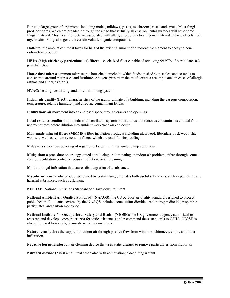**Fungi:** a large group of organisms including molds, mildews, yeasts, mushrooms, rusts, and smuts. Most fungi produce spores, which are broadcast through the air so that virtually all environmental surfaces will have some fungal material. Most health effects are associated with allergic responses to antigenic material or toxic effects from mycotoxins. Fungi also generate certain volatile organic compounds.

**Half-life:** the amount of time it takes for half of the existing amount of a radioactive element to decay to nonradioactive products.

**HEPA (high-efficiency particulate air) filter:** a specialized filter capable of removing 99.97% of particulates 0.3 µ in diameter.

**House dust mite:** a common microscopic household arachnid, which feeds on shed skin scales, and so tends to concentrate around mattresses and furniture. Antigens present in the mite's excreta are implicated in cases of allergic asthma and allergic rhinitis.

**HVAC:** heating, ventilating, and air-conditioning system.

**Indoor air quality (IAQ):** characteristics of the indoor climate of a building, including the gaseous composition, temperature, relative humidity, and airborne contaminant levels.

**Infiltration:** air movement into an enclosed space through cracks and openings.

**Local exhaust ventilation:** an industrial ventilation system that captures and removes contaminants emitted from nearby sources before dilution into ambient workplace air can occur.

**Man-made mineral fibers (MMMF):** fiber insulation products including glasswool, fiberglass, rock wool, slag wools, as well as refractory ceramic fibers, which are used for fireproofing.

**Mildew:** a superficial covering of organic surfaces with fungi under damp conditions.

**Mitigation:** a procedure or strategy aimed at reducing or eliminating an indoor air problem, either through source control, ventilation control, exposure reduction, or air cleaning.

**Mold:** a fungal infestation that causes disintegration of a substance.

**Mycotoxin:** a metabolic product generated by certain fungi; includes both useful substances, such as penicillin, and harmful substances, such as aflatoxin.

**NESHAP:** National Emissions Standard for Hazardous Pollutants

**National Ambient Air Quality Standard: (NAAQS):** the US outdoor air quality standard designed to protect public health. Pollutants covered by the NAAQS include ozone, sulfur dioxide, lead, nitrogen dioxide, respirable particulates, and carbon monoxide.

**National Institute for Occupational Safety and Health (NIOSH):** the US government agency authorized to research and develop exposure criteria for toxic substances and recommend these standards to OSHA. NIOSH is also authorized to investigate unsafe working conditions.

**Natural ventilation:** the supply of outdoor air through passive flow from windows, chimneys, doors, and other infiltration.

**Negative ion generator:** an air cleaning device that uses static charges to remove particulates from indoor air.

**Nitrogen dioxide (N02):** a pollutant associated with combustion; a deep lung irritant.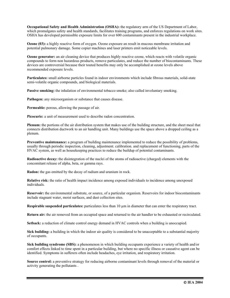**Occupational Safety and Health Administration (OSHA):** the regulatory arm of the US Department of Labor, which promulgates safety and health standards, facilitates training programs, and enforces regulations on work sites. OSHA has developed permissible exposure limits for over 600 contaminants present in the industrial workplace.

**Ozone (03):** a highly reactive form of oxygen. Ozone exposure an result in mucous membrane irritation and potential pulmonary damage. Some copier machines and laser printers emit noticeable levels.

**Ozone generator:** an air cleaning device that produces highly reactive ozone, which reacts with volatile organic compounds to form non hazardous products, remove particulates, and reduce the number of biocontaminants. These devices are controversial because their touted benefits may only be accomplished at ozone levels above recommended exposure levels.

**Particulates:** small airborne particles found in indoor environments which include fibrous materials, solid-state semi-volatile organic compounds, and biological materials.

**Passive smoking:** the inhalation of environmental tobacco smoke; also called involuntary smoking.

Pathogen: any microorganism or substance that causes disease.

**Permeable:** porous, allowing the passage of air.

**Picocurie:** a unit of measurement used to describe radon concentration.

**Plenum:** the portions of the air distribution system that makes use of the building structure, and the sheet meal that connects distribution ductwork to an air handling unit. Many buildings use the space above a dropped ceiling as a plenum.

**Preventive maintenance:** a program of building maintenance implemented to reduce the possibility of problems, usually through periodic inspection, cleaning, adjustment. calibration. and replacement of functioning, parts of the HVAC system, as well as housekeeping practices to reduce the buildup of potential contaminants.

**Radioactive decay:** the disintegration of the nuclei of the atoms of radioactive (charged) elements with the concomitant release of alpha, beta, or gamma rays.

**Radon:** the gas emitted by the decay of radium and uranium in rock.

**Relative risk:** the ratio of health impact incidence among exposed individuals to incidence among unexposed individuals.

**Reservoir:** the environmental substrate, or source, of a particular organism. Reservoirs for indoor biocontaminants include stagnant water, moist surfaces, and dust collection sites.

**Respirable suspended particulates:** particulates less than 10 µm in diameter that can enter the respiratory tract.

**Return air:** the air removed from an occupied space and returned to the air handler to be exhausted or recirculated.

**Setback:** a reduction of climate control energy demand in HVAC controls when a building is unoccupied.

**Sick building:** a building in which the indoor air quality is considered to be unacceptable to a substantial majority of occupants.

**Sick building syndrome (SBS):** a phenomenon in which building occupants experience a variety of health and/or comfort effects linked to time spent in a particular building, but where no specific illness or causative agent can be identified. Symptoms in sufferers often include headaches, eye irritation, and respiratory irritation.

**Source control:** a preventive strategy for reducing airborne contaminant levels through removal of the material or activity generating the pollutants .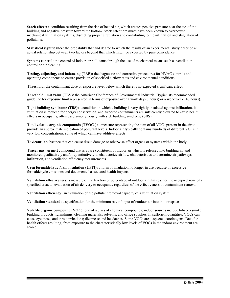**Stack effect:** a condition resulting from the rise of heated air, which creates positive pressure near the top of the building and negative pressure toward the bottom. Stack effect pressures have been known to overpower mechanical ventilation systems, disrupting proper circulation and contributing to the infiltration and stagnation of pollutants.

**Statistical significance:** the probability that and degree to which the results of an experimental study describe an actual relationship between two factors beyond that which might be expected by pure coincidence.

**Systems control:** the control of indoor air pollutants through the use of mechanical means such as ventilation control or air cleaning.

**Testing, adjusting, and balancing (TAB):** the diagnostic and corrective procedures for HVAC controls and operating components to ensure provision of specified airflow rates and environmental conditions.

**Threshold:** the contaminant dose or exposure level below which there is no expected significant effect.

**Threshold limit value (TLV):** the American Conference of Governmental Industrial Hygienists recommended guideline for exposure limit represented in terms of exposure over a work day (8 hours) or a work week (40 hours).

**Tight building syndrome (TBS):** a condition in which a building is very tightly insulated against infiltration, its ventilation is reduced for energy conservation, and airborne contaminants are sufficiently elevated to cause health effects in occupants; often used synonymously with sick building syndrome (SBS).

**Total volatile organic compounds (TVOCs):** a measure representing the sum of all VOCs present in the air to provide an approximate indication of pollutant levels. Indoor air typically contains hundreds of different VOCs in very low concentrations, some of which can have additive effects.

**Toxicant:** a substance that can cause tissue damage or otherwise affect organs or systems within the body.

**Tracer gas:** an inert compound that is a rare constituent of indoor air which is released into building air and monitored qualitatively and/or quantitatively to characterize airflow characteristics to determine air pathways, infiltration, and ventilation efficiency measurements.

**Urea formaldehyde foam insulation (UFFI):** a form of insulation no longer in use because of excessive formaldehyde emissions and documented associated health impacts.

**Ventilation effectiveness:** a measure of the fraction or percentage of outdoor air that reaches the occupied zone of a specified area; an evaluation of air delivery to occupants, regardless of the effectiveness of contaminant removal.

**Ventilation efficiency:** an evaluation of the pollutant removal capacity of a ventilation system.

**Ventilation standard:** a specification for the minimum rate of input of outdoor air into indoor spaces

**Volatile organic compound (VOC):** one of a class of chemical compounds; indoor sources include tobacco smoke, building products, furnishings, cleaning materials, solvents, and office supplies. In sufficient quantities, VOCs can cause eye, nose, and throat irritations; dizziness; and headaches. Some VOCs are suspected carcinogens. Data for health effects resulting, from exposure to the characteristically low levels of VOCs in the indoor environment are scarce.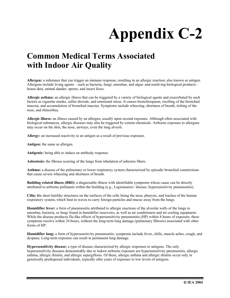# **Appendix C-2**

## **Common Medical Terms Associated with Indoor Air Quality**

**Allergen:** a substance that can trigger an immune response, resulting in an allergic reaction; also known as antigen. Allergens include living agents – such as bacteria, fungi, amoebae, and algae–and nonliving biological products– house dust, animal dander, spores, and insect feces.

**Allergic asthma:** an allergic illness that can be triggered by a variety of biological agents and exacerbated by such factors as cigarette smoke, sulfur dioxide, and emotional stress. It causes bronchiospasm, swelling of the bronchial mucosa, and accumulation of bronchial mucous. Symptoms include wheezing, shortness of breath, itching of the nose, and rhinorrhea.

**Allergic illness:** an illness caused by an allergen, usually upon second exposure. Although often associated with biological substances, allergic diseases may also be triggered by certain chemicals. Airborne exposure to allergens may occur on the skin, the nose, airways, even the lung alveoli.

**Allergy:** an increased reactivity to an antigen as a result of previous exposure.

**Antigen:** the same as allergen.

**Antigenic:** being able to induce an antibody response.

**Asbestosis:** the fibrous scarring of the lungs from inhalation of asbestos fibers.

**Asthma:** a disease of the pulmonary or lower respiratory system characterized by episodic bronchial constrictions that cause severe wheezing and shortness of breath.

**Building related illness (BRI):** a diagnosable illness with identifiable symptoms whose cause can be directly attributed to airborne pollutants within the building (e.g., Legionnaires' disease, hypersensitivity pneumonitis).

**Cilia: t**he short hairlike structures on the surfaces of the cells lining the nose, pharynx, and trachea of the human respiratory system, which beat in waves to carry foreign particles and mucus away from the lungs.

**Humidifier fever:** a form of pneumonitis attributed to allergic reactions of the alveolar walls of the lungs to amoebae, bacteria, or fungi found in humidifier reservoirs, as well as air conditioners and air cooling equipment. While the disease produces flu-like effects of hypersensitivity pneumonitis (HP) within 8 hours of exposure, these symptoms resolve within 24 hours, without the long-term lung damage (pulmonary fibrosis) associated with other forms of HP.

**Humidifier lung:** a form of hypersensitivity pneumonitis; symptoms include fever, chills, muscle aches, cough, and dyspnea. Long-term exposure can result in permanent lung damage.

**Hypersensitivity disease:** a type of disease characterized by allergic responses to antigens. The only hypersensitivity diseases demonstrably due to indoor airborne exposure are hypersensitivity pneumonitis, allergic asthma, allergic rhinitis, and allergic aspergillosis. Of these, allergic asthma and allergic rhinitis occur only in genetically predisposed individuals, typically after years of exposure to low levels of antigens.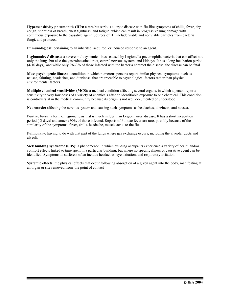**Hypersensitivity pneumonitis (HP):** a rare but serious allergic disease with flu-like symptoms of chills, fever, dry cough, shortness of breath, chest tightness, and fatigue, which can result in progressive lung damage with continuous exposure to the causative agent. Sources of HP include viable and nonviable particles from bacteria, fungi, and protozoa.

**Immunological:** pertaining to an inherited, acquired, or induced response to an agent.

**Legionnaires' disease:** a severe multisystemic illness caused by Legionella pneumophila bacteria that can affect not only the lungs but also the gastrointestinal tract, central nervous system, and kidneys. It has a long incubation period (4-10 days), and while only 2%-3% of those infected with the bacteria contract the disease, the disease can be fatal.

**Mass psychogenic illness:** a condition in which numerous persons report similar physical symptoms–such as nausea, fainting, headaches, and dizziness–that are traceable to psychological factors rather than physical environmental factors.

**Multiple chemical sensitivities (MCS):** a medical condition affecting several organs, in which a person reports sensitivity to very low doses of a variety of chemicals after an identifiable exposure to one chemical. This condition is controversial in the medical community because its origin is not well documented or understood.

**Neurotoxic:** affecting the nervous system and causing such symptoms as headaches, dizziness, and nausea.

**Pontiac fever:** a form of legionellosis that is much milder than Legionnaires' disease. It has a short incubation period (-3 days) and attacks 90% of those infected. Reports of Pontiac fever are rare, possibly because of the similarity of the symptoms–fever, chills. headache, muscle ache–to the flu.

**Pulmonary:** having to do with that part of the lungs where gas exchange occurs, including the alveolar ducts and alveoli.

**Sick building syndrome (SBS):** a phenomenon in which building occupants experience a variety of health and/or comfort effects linked to time spent in a particular building, but where no specific illness or causative agent can be identified. Symptoms in sufferers often include headaches, eye irritation, and respiratory irritation.

**Systemic effects:** the physical effects that occur following absorption of a given agent into the body, manifesting at an organ or site removed from the point of contact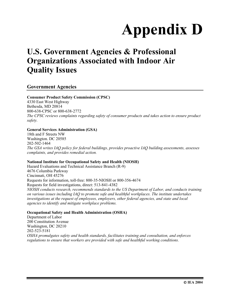# **Appendix D**

## **U.S. Government Agencies & Professional Organizations Associated with Indoor Air Quality Issues**

#### **Government Agencies**

#### **Consumer Product Safety Commission (CPSC)**

4330 East West Highway Bethesda, MD 20814 800-638-CPSC or 800-638-2772 *The CPSC reviews complaints regarding safety of consumer products and takes action to ensure product safety.* 

#### **General Services Administration (GSA)**

18th and F Streets NW Washington. DC 20585 202-502-1464 *The GSA writes IAQ policy for federal buildings, provides proactive IAQ building assessments, assesses complaints, and provides remedial action.* 

#### **National Institute for Occupational Safety and Health (NIOSH)**

Hazard Evaluations and Technical Assistance Branch (R-9) 4676 Columbia Parkway Cincinnati, OH 45276 Requests for information, toll-free: 800-35-NIOSH or 800-356-4674 Requests for field investigations, direct: 513-841-4382 *NIOSH conducts research, recommends standards to the US Department of Labor, and conducts training on various issues including IAQ to promote safe and healthful workplaces. The institute undertakes investigations at the request of employees, employers, other federal agencies, and state and local agencies to identify and mitigate workplace problems.* 

#### **Occupational Safety and Health Administration (OSHA)**

Department of Labor 200 Constitution Avenue Washington, DC 20210 202-523-5181 *OSHA promulgates safety and health standards, facilitates training and consultation, and enforces regulations to ensure that workers are provided with safe and healthful working conditions.*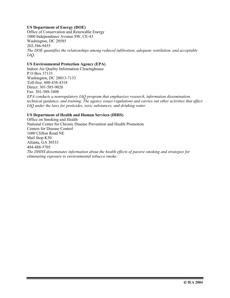#### **US Department of Energy (DOE)**

Office of Conservation and Renewable Energy 1000 Independence Avenue SW, CE-43 Washington, DC 20585 202-586-9455 *The DOE quantifies the relationships among reduced infiltration, adequate ventilation, and acceptable IAQ.* 

#### **US Environmental Protection Agency (EPA)**

Indoor Air Quality Information Clearinghouse P O Box 37133 Washington, DC 20013-7133 Toll-free: 800-438-4318 Direct: 301-585-9020 Fax: 301-588-3408 *EPA conducts a nonregulatory IAQ program that emphasizes research, information dissemination, technical guidance, and training. The agency issues regulations and carries out other activities that affect IAQ under the laws for pesticides, toxic substances, and drinking water.* 

#### **US Department of Health and Human Services (DIHS)**

Office on Smoking and Health National Center for Chronic Disease Prevention and Health Promotion Centers for Disease Control 1600 Clifton Road NE Mail Stop K50 Atlanta, GA 30333 404-488-5705 *The DHHS disseminates information about the health effects of passive smoking and strategies for eliminating exposure to environmental tobacco smoke.*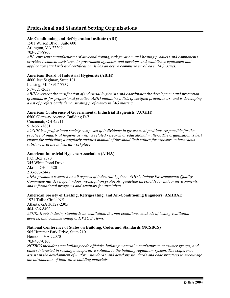#### **Professional and Standard Setting Organizations**

#### **Air-Conditioning and Refrigeration Institute (ARI)**

1501 Wilson Blvd., Suite 600 Arlington, VA 22209 703-524-8800 *ARI represents manufacturers of air-conditioning, refrigeration, and heating products and components, provides technical assistance to government agencies, and develops and establishes equipment and application standards and certification. It has an active committee involved in IAQ issues.* 

#### **American Board of Industrial Hygienists (ABIH)**

4600 Jest Saginaw, Suite 101 Lansing, MI 48917-7737 517-321-2638 *ABIH oversees the certification of industrial hygienists and coordinates the development and promotion of standards for professional practice. ABIH maintains a lists of certified practitioners, and is developing a list of professionals demonstrating proficiency in IAQ matters.* 

#### **American Conference of Governmental Industrial Hygienists** (**ACGIH)**

6500 Glenway Avenue, Building D-7 Cincinnati, OH 45211 513-661-7881 *ACGIH is a professional society composed of individuals in government positions responsible for the practice of industrial hygiene as well as related research or educational matters. The organization is best known for publishing a regularly updated manual of threshold limit values for exposure to hazardous substances in the industrial workplace.* 

#### **American Industrial Hygiene Association (AIHA)**

P.O. Box 8390 345 White Pond Drive Akron, OH 44320 216-873-2442 *AIHA promotes research on all aspects of industrial hygiene. AIHA's Indoor Environmental Quality Committee has developed indoor investigation protocols, guideline thresholds for indoor environments, and informational programs and seminars for specialists.* 

#### **American Society of Heating, Refrigerating, and Air-Conditioning Engineers (ASHRAE)**

1971 Tullie Circle NE Atlanta, GA 30329-2305 404-636-8400 *ASHRAE sets industry standards on ventilation, thermal conditions, methods of testing ventilation devices, and commissioning of HVAC Systems.* 

#### **National Conference of States on Building, Codes and Standards (NCSBCS)**

505 Huntmar Park Drive, Suite 210 Herndon, VA 22070 703-437-0100 *NCSBCS includes state building code officials, building material manufacturers, consumer groups, and others interested in seeking a cooperative solution to the building regulatory system. The conference assists in the development of uniform standards, and develops standards and code practices to encourage the introduction of innovative building materials.*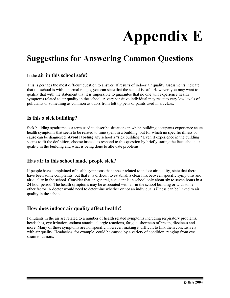# **Appendix E**

## **Suggestions for Answering Common Questions**

#### **Is the air in this school safe?**

This is perhaps the most difficult question to answer. If results of indoor air quality assessments indicate that the school is within normal ranges, you can state that the school is safe. However, you may want to qualify that with the statement that it is impossible to guarantee that no one will experience health symptoms related to air quality in the school. A very sensitive individual may react to very low levels of pollutants or something as common as odors from felt tip pens or paints used in art class.

#### **Is this a sick building?**

Sick building syndrome is a term used to describe situations in which building occupants experience acute health symptoms that seem to be related to time spent in a building, but for which no specific illness or cause can be diagnosed. **Avoid labeling** any school a "sick building." Even if experience in the building seems to fit the definition, choose instead to respond to this question by briefly stating the facts about air quality in the building and what is being done to alleviate problems.

#### **Has air in this school made people sick?**

If people have complained of health symptoms that appear related to indoor air quality, state that there have been some complaints, but that it is difficult to establish a clear link between specific symptoms and air quality in the school. Consider that, in general, a student is in school only about six to seven hours in a 24 hour period. The health symptoms may be associated with air in the school building or with some other factor. A doctor would need to determine whether or not an individual's illness can be linked to air quality in the school.

#### **How does indoor air quality affect health?**

Pollutants in the air are related to a number of health related symptoms including respiratory problems, headaches, eye irritation, asthma attacks, allergic reactions, fatigue, shortness of breath, dizziness and more. Many of these symptoms are nonspecific, however, making it difficult to link them conclusively with air quality. Headaches, for example, could be caused by a variety of condition, ranging from eye strain to tumors.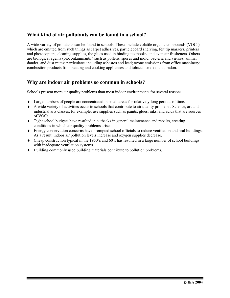#### **What kind of air pollutants can be found in a school?**

A wide variety of pollutants can be found in schools. These include volatile organic compounds (VOCs) which are emitted from such things as carpet adhesives, particleboard shelving, felt tip markers, printers and photocopiers, cleaning supplies, the glues used in binding textbooks, and even air fresheners. Others are biological agents (biocontaminants ) such as pollens, spores and mold, bacteria and viruses, animal dander, and dust mites; particulates including asbestos and lead; ozone emissions from office machinery; combustion products from heating and cooking appliances and tobacco smoke; and, radon.

#### **Why are indoor air problems so common in schools?**

Schools present more air quality problems than most indoor environments for several reasons:

- ♦ Large numbers of people are concentrated in small areas for relatively long periods of time.
- ♦ A wide variety of activities occur in schools that contribute to air quality problems. Science, art and industrial arts classes, for example, use supplies such as paints, glues, inks, and acids that are sources of VOCs.
- ♦ Tight school budgets have resulted in cutbacks in general maintenance and repairs, creating conditions in which air quality problems arise.
- ♦ Energy conservation concerns have prompted school officials to reduce ventilation and seal buildings. As a result, indoor air pollution levels increase and oxygen supplies decrease.
- $\bullet$  Cheap construction typical in the 1950's and 60's has resulted in a large number of school buildings with inadequate ventilation systems.
- ♦ Building commonly used building materials contribute to pollution problems.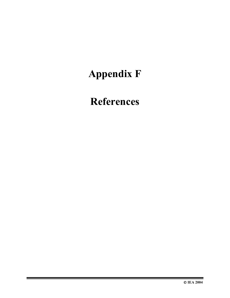# **Appendix F**

## **References**